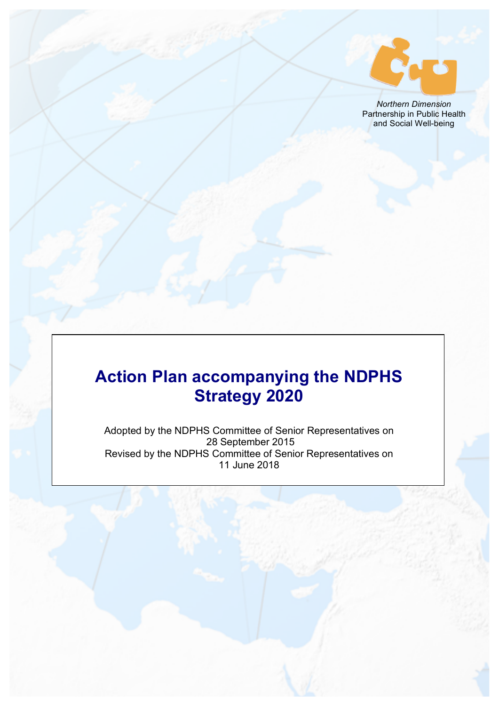

*Northern Dimension* Partnership in Public Health and Social Well-being

# **Action Plan accompanying the NDPHS Strategy 2020**

Adopted by the NDPHS Committee of Senior Representatives on 28 September 2015 Revised by the NDPHS Committee of Senior Representatives on 11 June 2018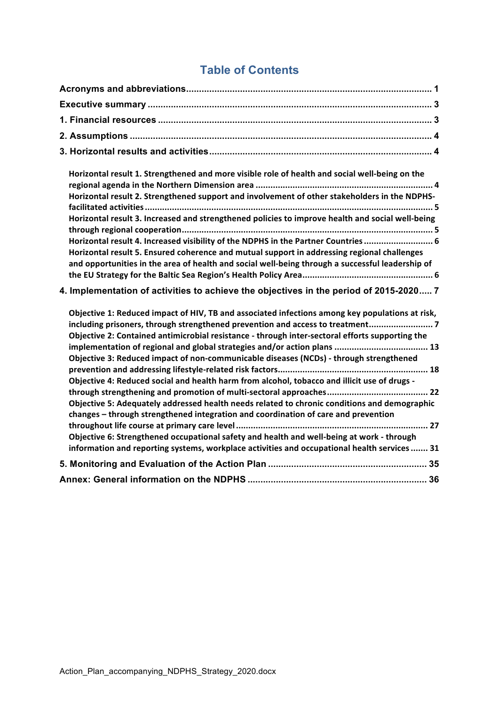## **Table of Contents**

| Horizontal result 1. Strengthened and more visible role of health and social well-being on the<br>Horizontal result 2. Strengthened support and involvement of other stakeholders in the NDPHS-<br>Horizontal result 3. Increased and strengthened policies to improve health and social well-being<br>Horizontal result 4. Increased visibility of the NDPHS in the Partner Countries  6<br>Horizontal result 5. Ensured coherence and mutual support in addressing regional challenges<br>and opportunities in the area of health and social well-being through a successful leadership of                                                                                                                                                     |
|--------------------------------------------------------------------------------------------------------------------------------------------------------------------------------------------------------------------------------------------------------------------------------------------------------------------------------------------------------------------------------------------------------------------------------------------------------------------------------------------------------------------------------------------------------------------------------------------------------------------------------------------------------------------------------------------------------------------------------------------------|
| 4. Implementation of activities to achieve the objectives in the period of 2015-2020 7                                                                                                                                                                                                                                                                                                                                                                                                                                                                                                                                                                                                                                                           |
| Objective 1: Reduced impact of HIV, TB and associated infections among key populations at risk,<br>including prisoners, through strengthened prevention and access to treatment 7<br>Objective 2: Contained antimicrobial resistance - through inter-sectoral efforts supporting the<br>implementation of regional and global strategies and/or action plans  13<br>Objective 3: Reduced impact of non-communicable diseases (NCDs) - through strengthened<br>Objective 4: Reduced social and health harm from alcohol, tobacco and illicit use of drugs -<br>Objective 5: Adequately addressed health needs related to chronic conditions and demographic<br>changes - through strengthened integration and coordination of care and prevention |
| Objective 6: Strengthened occupational safety and health and well-being at work - through<br>information and reporting systems, workplace activities and occupational health services  31                                                                                                                                                                                                                                                                                                                                                                                                                                                                                                                                                        |
|                                                                                                                                                                                                                                                                                                                                                                                                                                                                                                                                                                                                                                                                                                                                                  |
|                                                                                                                                                                                                                                                                                                                                                                                                                                                                                                                                                                                                                                                                                                                                                  |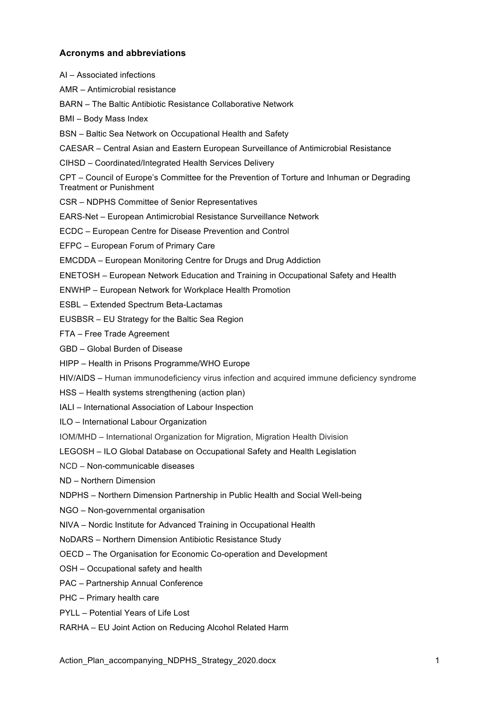## **Acronyms and abbreviations**

AI – Associated infections AMR – Antimicrobial resistance BARN – The Baltic Antibiotic Resistance Collaborative Network BMI – Body Mass Index BSN – Baltic Sea Network on Occupational Health and Safety CAESAR – Central Asian and Eastern European Surveillance of Antimicrobial Resistance CIHSD – Coordinated/Integrated Health Services Delivery CPT – Council of Europe's Committee for the Prevention of Torture and Inhuman or Degrading Treatment or Punishment CSR – NDPHS Committee of Senior Representatives EARS-Net – European Antimicrobial Resistance Surveillance Network ECDC – European Centre for Disease Prevention and Control EFPC – European Forum of Primary Care EMCDDA – European Monitoring Centre for Drugs and Drug Addiction ENETOSH – European Network Education and Training in Occupational Safety and Health ENWHP – European Network for Workplace Health Promotion ESBL – Extended Spectrum Beta-Lactamas EUSBSR – EU Strategy for the Baltic Sea Region FTA – Free Trade Agreement GBD – Global Burden of Disease HIPP – Health in Prisons Programme/WHO Europe HIV/AIDS – Human immunodeficiency virus infection and acquired immune deficiency syndrome HSS – Health systems strengthening (action plan) IALI – International Association of Labour Inspection ILO – International Labour Organization IOM/MHD – International Organization for Migration, Migration Health Division LEGOSH – ILO Global Database on Occupational Safety and Health Legislation NCD – Non-communicable diseases ND – Northern Dimension NDPHS – Northern Dimension Partnership in Public Health and Social Well-being NGO – Non-governmental organisation NIVA – Nordic Institute for Advanced Training in Occupational Health NoDARS – Northern Dimension Antibiotic Resistance Study OECD – The Organisation for Economic Co-operation and Development OSH – Occupational safety and health PAC – Partnership Annual Conference PHC – Primary health care

PYLL – Potential Years of Life Lost

RARHA – EU Joint Action on Reducing Alcohol Related Harm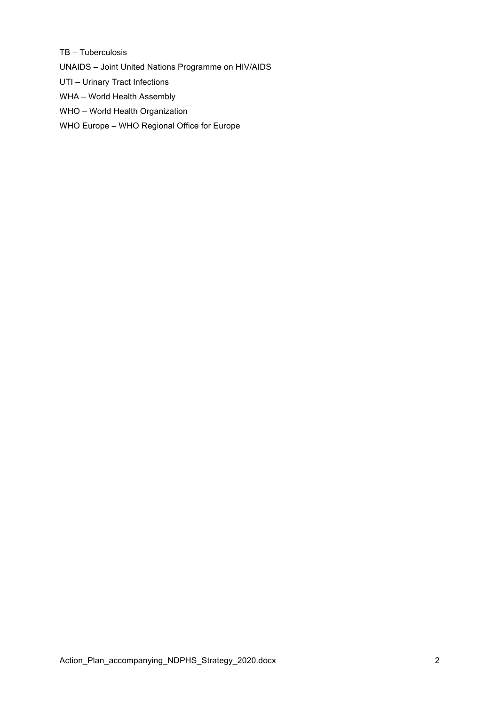TB – Tuberculosis

UNAIDS – Joint United Nations Programme on HIV/AIDS

- UTI Urinary Tract Infections
- WHA World Health Assembly
- WHO World Health Organization
- WHO Europe WHO Regional Office for Europe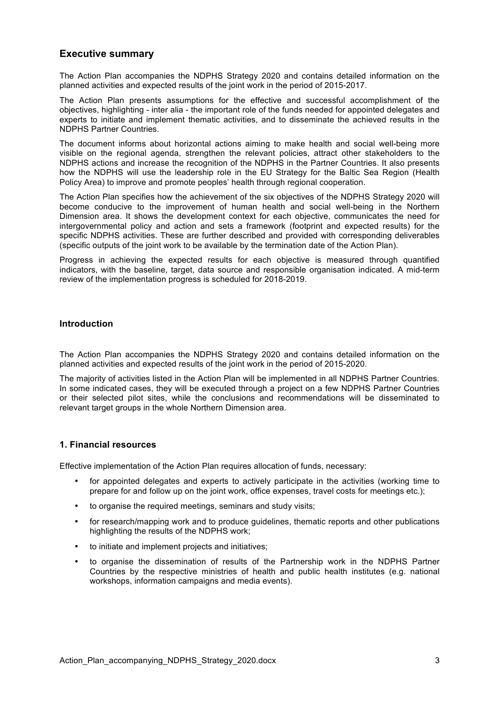## **Executive summary**

The Action Plan accompanies the NDPHS Strategy 2020 and contains detailed information on the planned activities and expected results of the joint work in the period of 2015-2017.

The Action Plan presents assumptions for the effective and successful accomplishment of the objectives, highlighting - inter alia - the important role of the funds needed for appointed delegates and experts to initiate and implement thematic activities, and to disseminate the achieved results in the NDPHS Partner Countries.

The document informs about horizontal actions aiming to make health and social well-being more visible on the regional agenda, strengthen the relevant policies, attract other stakeholders to the NDPHS actions and increase the recognition of the NDPHS in the Partner Countries. It also presents how the NDPHS will use the leadership role in the EU Strategy for the Baltic Sea Region (Health Policy Area) to improve and promote peoples' health through regional cooperation.

The Action Plan specifies how the achievement of the six objectives of the NDPHS Strategy 2020 will become conducive to the improvement of human health and social well-being in the Northern Dimension area. It shows the development context for each objective, communicates the need for intergovernmental policy and action and sets a framework (footprint and expected results) for the specific NDPHS activities. These are further described and provided with corresponding deliverables (specific outputs of the joint work to be available by the termination date of the Action Plan).

Progress in achieving the expected results for each objective is measured through quantified indicators, with the baseline, target, data source and responsible organisation indicated. A mid-term review of the implementation progress is scheduled for 2018-2019.

## **Introduction**

The Action Plan accompanies the NDPHS Strategy 2020 and contains detailed information on the planned activities and expected results of the joint work in the period of 2015-2020.

The majority of activities listed in the Action Plan will be implemented in all NDPHS Partner Countries. In some indicated cases, they will be executed through a project on a few NDPHS Partner Countries or their selected pilot sites, while the conclusions and recommendations will be disseminated to relevant target groups in the whole Northern Dimension area.

## **1. Financial resources**

Effective implementation of the Action Plan requires allocation of funds, necessary:

- for appointed delegates and experts to actively participate in the activities (working time to prepare for and follow up on the joint work, office expenses, travel costs for meetings etc.);
- to organise the required meetings, seminars and study visits;
- for research/mapping work and to produce guidelines, thematic reports and other publications highlighting the results of the NDPHS work;
- to initiate and implement projects and initiatives;
- to organise the dissemination of results of the Partnership work in the NDPHS Partner Countries by the respective ministries of health and public health institutes (e.g. national workshops, information campaigns and media events).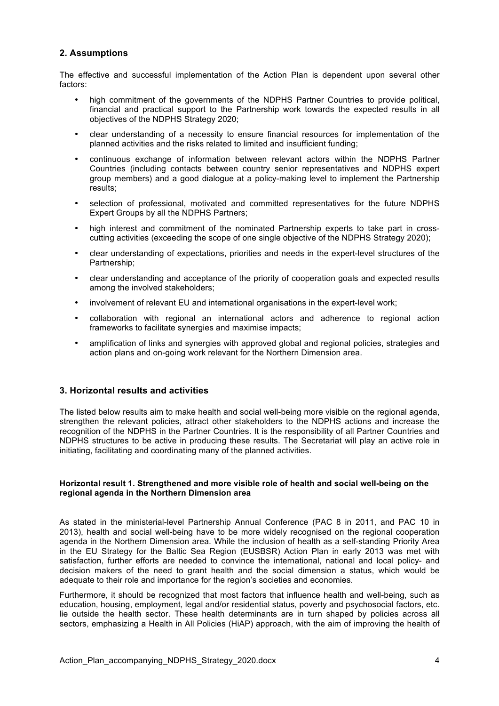## **2. Assumptions**

The effective and successful implementation of the Action Plan is dependent upon several other factors:

- high commitment of the governments of the NDPHS Partner Countries to provide political, financial and practical support to the Partnership work towards the expected results in all objectives of the NDPHS Strategy 2020;
- clear understanding of a necessity to ensure financial resources for implementation of the planned activities and the risks related to limited and insufficient funding;
- continuous exchange of information between relevant actors within the NDPHS Partner Countries (including contacts between country senior representatives and NDPHS expert group members) and a good dialogue at a policy-making level to implement the Partnership results;
- selection of professional, motivated and committed representatives for the future NDPHS Expert Groups by all the NDPHS Partners;
- high interest and commitment of the nominated Partnership experts to take part in crosscutting activities (exceeding the scope of one single objective of the NDPHS Strategy 2020);
- clear understanding of expectations, priorities and needs in the expert-level structures of the Partnership;
- clear understanding and acceptance of the priority of cooperation goals and expected results among the involved stakeholders;
- involvement of relevant EU and international organisations in the expert-level work;
- collaboration with regional an international actors and adherence to regional action frameworks to facilitate synergies and maximise impacts;
- amplification of links and synergies with approved global and regional policies, strategies and action plans and on-going work relevant for the Northern Dimension area.

## **3. Horizontal results and activities**

The listed below results aim to make health and social well-being more visible on the regional agenda, strengthen the relevant policies, attract other stakeholders to the NDPHS actions and increase the recognition of the NDPHS in the Partner Countries. It is the responsibility of all Partner Countries and NDPHS structures to be active in producing these results. The Secretariat will play an active role in initiating, facilitating and coordinating many of the planned activities.

#### **Horizontal result 1. Strengthened and more visible role of health and social well-being on the regional agenda in the Northern Dimension area**

As stated in the ministerial-level Partnership Annual Conference (PAC 8 in 2011, and PAC 10 in 2013), health and social well-being have to be more widely recognised on the regional cooperation agenda in the Northern Dimension area. While the inclusion of health as a self-standing Priority Area in the EU Strategy for the Baltic Sea Region (EUSBSR) Action Plan in early 2013 was met with satisfaction, further efforts are needed to convince the international, national and local policy- and decision makers of the need to grant health and the social dimension a status, which would be adequate to their role and importance for the region's societies and economies.

Furthermore, it should be recognized that most factors that influence health and well-being, such as education, housing, employment, legal and/or residential status, poverty and psychosocial factors, etc. lie outside the health sector. These health determinants are in turn shaped by policies across all sectors, emphasizing a Health in All Policies (HiAP) approach, with the aim of improving the health of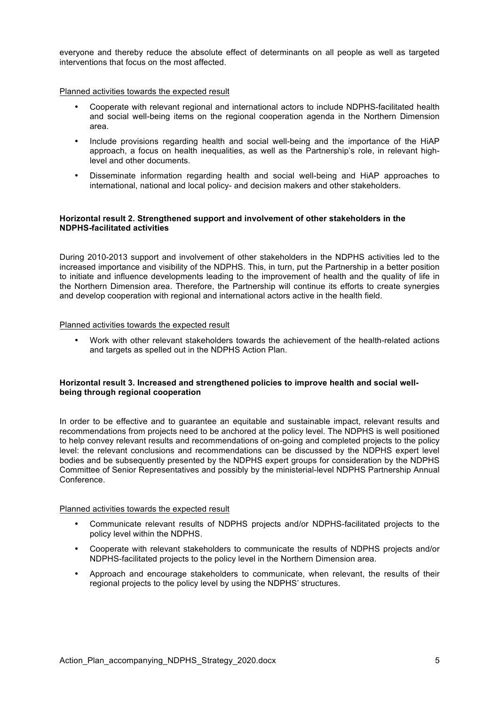everyone and thereby reduce the absolute effect of determinants on all people as well as targeted interventions that focus on the most affected.

#### Planned activities towards the expected result

- Cooperate with relevant regional and international actors to include NDPHS-facilitated health and social well-being items on the regional cooperation agenda in the Northern Dimension area.
- Include provisions regarding health and social well-being and the importance of the HiAP approach, a focus on health inequalities, as well as the Partnership's role, in relevant highlevel and other documents.
- Disseminate information regarding health and social well-being and HiAP approaches to international, national and local policy- and decision makers and other stakeholders.

#### **Horizontal result 2. Strengthened support and involvement of other stakeholders in the NDPHS-facilitated activities**

During 2010-2013 support and involvement of other stakeholders in the NDPHS activities led to the increased importance and visibility of the NDPHS. This, in turn, put the Partnership in a better position to initiate and influence developments leading to the improvement of health and the quality of life in the Northern Dimension area. Therefore, the Partnership will continue its efforts to create synergies and develop cooperation with regional and international actors active in the health field.

#### Planned activities towards the expected result

• Work with other relevant stakeholders towards the achievement of the health-related actions and targets as spelled out in the NDPHS Action Plan.

### **Horizontal result 3. Increased and strengthened policies to improve health and social wellbeing through regional cooperation**

In order to be effective and to guarantee an equitable and sustainable impact, relevant results and recommendations from projects need to be anchored at the policy level. The NDPHS is well positioned to help convey relevant results and recommendations of on-going and completed projects to the policy level: the relevant conclusions and recommendations can be discussed by the NDPHS expert level bodies and be subsequently presented by the NDPHS expert groups for consideration by the NDPHS Committee of Senior Representatives and possibly by the ministerial-level NDPHS Partnership Annual Conference.

#### Planned activities towards the expected result

- Communicate relevant results of NDPHS projects and/or NDPHS-facilitated projects to the policy level within the NDPHS.
- Cooperate with relevant stakeholders to communicate the results of NDPHS projects and/or NDPHS-facilitated projects to the policy level in the Northern Dimension area.
- Approach and encourage stakeholders to communicate, when relevant, the results of their regional projects to the policy level by using the NDPHS' structures.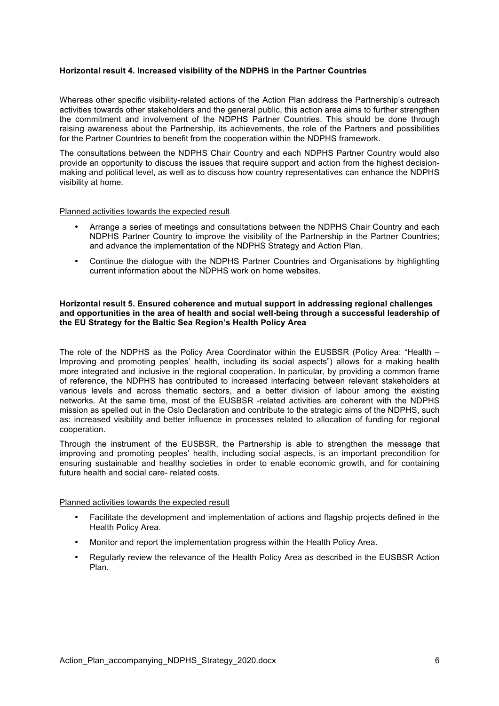#### **Horizontal result 4. Increased visibility of the NDPHS in the Partner Countries**

Whereas other specific visibility-related actions of the Action Plan address the Partnership's outreach activities towards other stakeholders and the general public, this action area aims to further strengthen the commitment and involvement of the NDPHS Partner Countries. This should be done through raising awareness about the Partnership, its achievements, the role of the Partners and possibilities for the Partner Countries to benefit from the cooperation within the NDPHS framework.

The consultations between the NDPHS Chair Country and each NDPHS Partner Country would also provide an opportunity to discuss the issues that require support and action from the highest decisionmaking and political level, as well as to discuss how country representatives can enhance the NDPHS visibility at home.

#### Planned activities towards the expected result

- Arrange a series of meetings and consultations between the NDPHS Chair Country and each NDPHS Partner Country to improve the visibility of the Partnership in the Partner Countries; and advance the implementation of the NDPHS Strategy and Action Plan.
- Continue the dialogue with the NDPHS Partner Countries and Organisations by highlighting current information about the NDPHS work on home websites.

#### **Horizontal result 5. Ensured coherence and mutual support in addressing regional challenges and opportunities in the area of health and social well-being through a successful leadership of the EU Strategy for the Baltic Sea Region's Health Policy Area**

The role of the NDPHS as the Policy Area Coordinator within the EUSBSR (Policy Area: "Health – Improving and promoting peoples' health, including its social aspects") allows for a making health more integrated and inclusive in the regional cooperation. In particular, by providing a common frame of reference, the NDPHS has contributed to increased interfacing between relevant stakeholders at various levels and across thematic sectors, and a better division of labour among the existing networks. At the same time, most of the EUSBSR -related activities are coherent with the NDPHS mission as spelled out in the Oslo Declaration and contribute to the strategic aims of the NDPHS, such as: increased visibility and better influence in processes related to allocation of funding for regional cooperation.

Through the instrument of the EUSBSR, the Partnership is able to strengthen the message that improving and promoting peoples' health, including social aspects, is an important precondition for ensuring sustainable and healthy societies in order to enable economic growth, and for containing future health and social care- related costs.

## Planned activities towards the expected result

- Facilitate the development and implementation of actions and flagship projects defined in the Health Policy Area.
- Monitor and report the implementation progress within the Health Policy Area.
- Regularly review the relevance of the Health Policy Area as described in the EUSBSR Action Plan.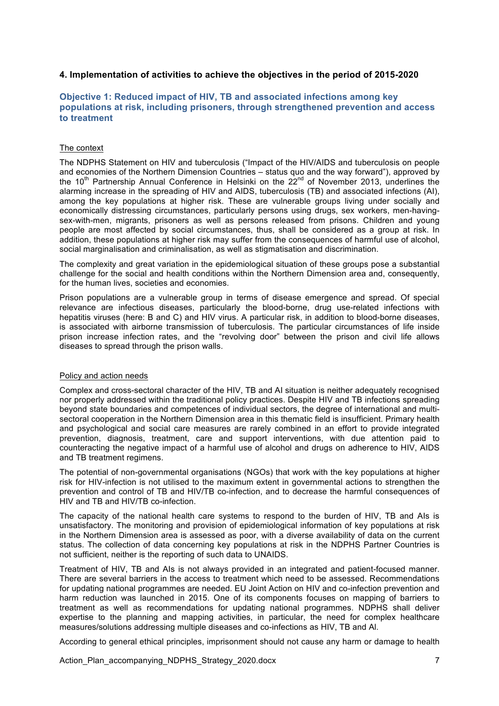## **4. Implementation of activities to achieve the objectives in the period of 2015-2020**

## **Objective 1: Reduced impact of HIV, TB and associated infections among key populations at risk, including prisoners, through strengthened prevention and access to treatment**

#### The context

The NDPHS Statement on HIV and tuberculosis ("Impact of the HIV/AIDS and tuberculosis on people and economies of the Northern Dimension Countries – status quo and the way forward"), approved by the 10<sup>th</sup> Partnership Annual Conference in Helsinki on the  $22^{nd}$  of November 2013, underlines the alarming increase in the spreading of HIV and AIDS, tuberculosis (TB) and associated infections (AI), among the key populations at higher risk. These are vulnerable groups living under socially and economically distressing circumstances, particularly persons using drugs, sex workers, men-havingsex-with-men, migrants, prisoners as well as persons released from prisons. Children and young people are most affected by social circumstances, thus, shall be considered as a group at risk. In addition, these populations at higher risk may suffer from the consequences of harmful use of alcohol, social marginalisation and criminalisation, as well as stigmatisation and discrimination.

The complexity and great variation in the epidemiological situation of these groups pose a substantial challenge for the social and health conditions within the Northern Dimension area and, consequently, for the human lives, societies and economies.

Prison populations are a vulnerable group in terms of disease emergence and spread. Of special relevance are infectious diseases, particularly the blood-borne, drug use-related infections with hepatitis viruses (here: B and C) and HIV virus. A particular risk, in addition to blood-borne diseases, is associated with airborne transmission of tuberculosis. The particular circumstances of life inside prison increase infection rates, and the "revolving door" between the prison and civil life allows diseases to spread through the prison walls.

#### Policy and action needs

Complex and cross-sectoral character of the HIV, TB and AI situation is neither adequately recognised nor properly addressed within the traditional policy practices. Despite HIV and TB infections spreading beyond state boundaries and competences of individual sectors, the degree of international and multisectoral cooperation in the Northern Dimension area in this thematic field is insufficient. Primary health and psychological and social care measures are rarely combined in an effort to provide integrated prevention, diagnosis, treatment, care and support interventions, with due attention paid to counteracting the negative impact of a harmful use of alcohol and drugs on adherence to HIV, AIDS and TB treatment regimens.

The potential of non-governmental organisations (NGOs) that work with the key populations at higher risk for HIV-infection is not utilised to the maximum extent in governmental actions to strengthen the prevention and control of TB and HIV/TB co-infection, and to decrease the harmful consequences of HIV and TB and HIV/TB co-infection.

The capacity of the national health care systems to respond to the burden of HIV, TB and AIs is unsatisfactory. The monitoring and provision of epidemiological information of key populations at risk in the Northern Dimension area is assessed as poor, with a diverse availability of data on the current status. The collection of data concerning key populations at risk in the NDPHS Partner Countries is not sufficient, neither is the reporting of such data to UNAIDS.

Treatment of HIV, TB and AIs is not always provided in an integrated and patient-focused manner. There are several barriers in the access to treatment which need to be assessed. Recommendations for updating national programmes are needed. EU Joint Action on HIV and co-infection prevention and harm reduction was launched in 2015. One of its components focuses on mapping of barriers to treatment as well as recommendations for updating national programmes. NDPHS shall deliver expertise to the planning and mapping activities, in particular, the need for complex healthcare measures/solutions addressing multiple diseases and co-infections as HIV, TB and Al.

According to general ethical principles, imprisonment should not cause any harm or damage to health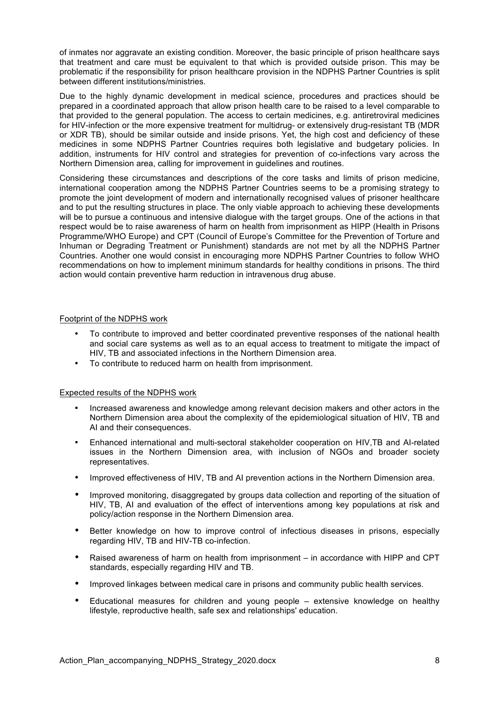of inmates nor aggravate an existing condition. Moreover, the basic principle of prison healthcare says that treatment and care must be equivalent to that which is provided outside prison. This may be problematic if the responsibility for prison healthcare provision in the NDPHS Partner Countries is split between different institutions/ministries.

Due to the highly dynamic development in medical science, procedures and practices should be prepared in a coordinated approach that allow prison health care to be raised to a level comparable to that provided to the general population. The access to certain medicines, e.g. antiretroviral medicines for HIV-infection or the more expensive treatment for multidrug- or extensively drug-resistant TB (MDR or XDR TB), should be similar outside and inside prisons. Yet, the high cost and deficiency of these medicines in some NDPHS Partner Countries requires both legislative and budgetary policies. In addition, instruments for HIV control and strategies for prevention of co-infections vary across the Northern Dimension area, calling for improvement in guidelines and routines.

Considering these circumstances and descriptions of the core tasks and limits of prison medicine, international cooperation among the NDPHS Partner Countries seems to be a promising strategy to promote the joint development of modern and internationally recognised values of prisoner healthcare and to put the resulting structures in place. The only viable approach to achieving these developments will be to pursue a continuous and intensive dialogue with the target groups. One of the actions in that respect would be to raise awareness of harm on health from imprisonment as HIPP (Health in Prisons Programme/WHO Europe) and CPT (Council of Europe's Committee for the Prevention of Torture and Inhuman or Degrading Treatment or Punishment) standards are not met by all the NDPHS Partner Countries. Another one would consist in encouraging more NDPHS Partner Countries to follow WHO recommendations on how to implement minimum standards for healthy conditions in prisons. The third action would contain preventive harm reduction in intravenous drug abuse.

#### Footprint of the NDPHS work

- To contribute to improved and better coordinated preventive responses of the national health and social care systems as well as to an equal access to treatment to mitigate the impact of HIV, TB and associated infections in the Northern Dimension area.
- To contribute to reduced harm on health from imprisonment.

#### Expected results of the NDPHS work

- Increased awareness and knowledge among relevant decision makers and other actors in the Northern Dimension area about the complexity of the epidemiological situation of HIV, TB and AI and their consequences.
- Enhanced international and multi-sectoral stakeholder cooperation on HIV,TB and AI-related issues in the Northern Dimension area, with inclusion of NGOs and broader society representatives.
- Improved effectiveness of HIV, TB and AI prevention actions in the Northern Dimension area.
- Improved monitoring, disaggregated by groups data collection and reporting of the situation of HIV, TB, AI and evaluation of the effect of interventions among key populations at risk and policy/action response in the Northern Dimension area.
- Better knowledge on how to improve control of infectious diseases in prisons, especially regarding HIV, TB and HIV-TB co-infection.
- Raised awareness of harm on health from imprisonment in accordance with HIPP and CPT standards, especially regarding HIV and TB.
- Improved linkages between medical care in prisons and community public health services.
- Educational measures for children and young people extensive knowledge on healthy lifestyle, reproductive health, safe sex and relationships' education.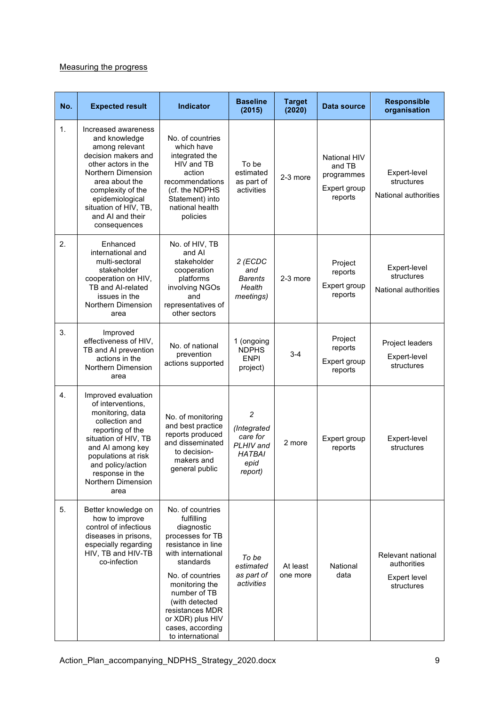## Measuring the progress

| No. | <b>Expected result</b>                                                                                                                                                                                                                            | <b>Indicator</b>                                                                                                                                                                                                                                                                 | <b>Baseline</b><br>(2015)                                                     | <b>Target</b><br>(2020) | Data source                                                            | <b>Responsible</b><br>organisation                                    |
|-----|---------------------------------------------------------------------------------------------------------------------------------------------------------------------------------------------------------------------------------------------------|----------------------------------------------------------------------------------------------------------------------------------------------------------------------------------------------------------------------------------------------------------------------------------|-------------------------------------------------------------------------------|-------------------------|------------------------------------------------------------------------|-----------------------------------------------------------------------|
| 1.  | Increased awareness<br>and knowledge<br>among relevant<br>decision makers and<br>other actors in the<br>Northern Dimension<br>area about the<br>complexity of the<br>epidemiological<br>situation of HIV, TB,<br>and AI and their<br>consequences | No. of countries<br>which have<br>integrated the<br>HIV and TB<br>action<br>recommendations<br>(cf. the NDPHS<br>Statement) into<br>national health<br>policies                                                                                                                  | To be<br>estimated<br>as part of<br>activities                                | 2-3 more                | <b>National HIV</b><br>and TB<br>programmes<br>Expert group<br>reports | Expert-level<br>structures<br>National authorities                    |
| 2.  | Enhanced<br>international and<br>multi-sectoral<br>stakeholder<br>cooperation on HIV,<br>TB and Al-related<br>issues in the<br>Northern Dimension<br>area                                                                                         | No. of HIV, TB<br>and AI<br>stakeholder<br>cooperation<br>platforms<br>involving NGOs<br>and<br>representatives of<br>other sectors                                                                                                                                              | 2 (ECDC<br>and<br><b>Barents</b><br>Health<br>meetings)                       | 2-3 more                | Project<br>reports<br>Expert group<br>reports                          | Expert-level<br>structures<br>National authorities                    |
| 3.  | Improved<br>effectiveness of HIV,<br>TB and AI prevention<br>actions in the<br>Northern Dimension<br>area                                                                                                                                         | No. of national<br>prevention<br>actions supported                                                                                                                                                                                                                               | 1 (ongoing<br><b>NDPHS</b><br><b>ENPI</b><br>project)                         | 3-4                     | Project<br>reports<br>Expert group<br>reports                          | Project leaders<br>Expert-level<br>structures                         |
| 4.  | Improved evaluation<br>of interventions,<br>monitoring, data<br>collection and<br>reporting of the<br>situation of HIV, TB<br>and AI among key<br>populations at risk<br>and policy/action<br>response in the<br>Northern Dimension<br>area       | No. of monitoring<br>and best practice<br>reports produced<br>and disseminated<br>to decision-<br>makers and<br>general public                                                                                                                                                   | 2<br>(Integrated<br>care for<br>PLHIV and<br><b>HATBAI</b><br>epid<br>report) | 2 more                  | Expert group<br>reports                                                | Expert-level<br>structures                                            |
| 5.  | Better knowledge on<br>how to improve<br>control of infectious<br>diseases in prisons,<br>especially regarding<br>HIV, TB and HIV-TB<br>co-infection                                                                                              | No. of countries<br>fulfilling<br>diagnostic<br>processes for TB<br>resistance in line<br>with international<br>standards<br>No. of countries<br>monitoring the<br>number of TB<br>(with detected<br>resistances MDR<br>or XDR) plus HIV<br>cases, according<br>to international | To be<br>estimated<br>as part of<br>activities                                | At least<br>one more    | National<br>data                                                       | Relevant national<br>authorities<br><b>Expert level</b><br>structures |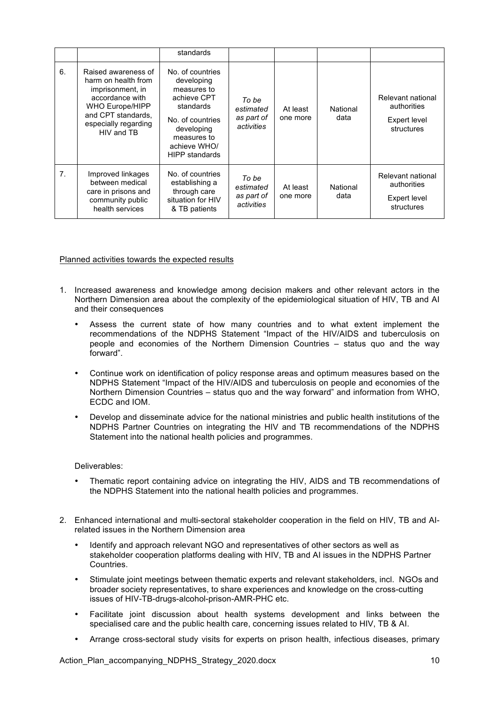|    |                                                                                                                                                                  | standards                                                                                                                                                           |                                                |                      |                  |                                                                |
|----|------------------------------------------------------------------------------------------------------------------------------------------------------------------|---------------------------------------------------------------------------------------------------------------------------------------------------------------------|------------------------------------------------|----------------------|------------------|----------------------------------------------------------------|
| 6. | Raised awareness of<br>harm on health from<br>imprisonment, in<br>accordance with<br>WHO Europe/HIPP<br>and CPT standards.<br>especially regarding<br>HIV and TB | No. of countries<br>developing<br>measures to<br>achieve CPT<br>standards<br>No. of countries<br>developing<br>measures to<br>achieve WHO/<br><b>HIPP standards</b> | To be<br>estimated<br>as part of<br>activities | At least<br>one more | National<br>data | Relevant national<br>authorities<br>Expert level<br>structures |
| 7. | Improved linkages<br>between medical<br>care in prisons and<br>community public<br>health services                                                               | No. of countries<br>establishing a<br>through care<br>situation for HIV<br>& TB patients                                                                            | To be<br>estimated<br>as part of<br>activities | At least<br>one more | National<br>data | Relevant national<br>authorities<br>Expert level<br>structures |

#### Planned activities towards the expected results

- 1. Increased awareness and knowledge among decision makers and other relevant actors in the Northern Dimension area about the complexity of the epidemiological situation of HIV, TB and AI and their consequences
	- Assess the current state of how many countries and to what extent implement the recommendations of the NDPHS Statement "Impact of the HIV/AIDS and tuberculosis on people and economies of the Northern Dimension Countries – status quo and the way forward".
	- Continue work on identification of policy response areas and optimum measures based on the NDPHS Statement "Impact of the HIV/AIDS and tuberculosis on people and economies of the Northern Dimension Countries – status quo and the way forward" and information from WHO, ECDC and IOM.
	- Develop and disseminate advice for the national ministries and public health institutions of the NDPHS Partner Countries on integrating the HIV and TB recommendations of the NDPHS Statement into the national health policies and programmes.

#### Deliverables:

- Thematic report containing advice on integrating the HIV, AIDS and TB recommendations of the NDPHS Statement into the national health policies and programmes.
- 2. Enhanced international and multi-sectoral stakeholder cooperation in the field on HIV, TB and AIrelated issues in the Northern Dimension area
	- Identify and approach relevant NGO and representatives of other sectors as well as stakeholder cooperation platforms dealing with HIV, TB and AI issues in the NDPHS Partner Countries.
	- Stimulate joint meetings between thematic experts and relevant stakeholders, incl. NGOs and broader society representatives, to share experiences and knowledge on the cross-cutting issues of HIV-TB-drugs-alcohol-prison-AMR-PHC etc.
	- Facilitate joint discussion about health systems development and links between the specialised care and the public health care, concerning issues related to HIV, TB & AI.
	- Arrange cross-sectoral study visits for experts on prison health, infectious diseases, primary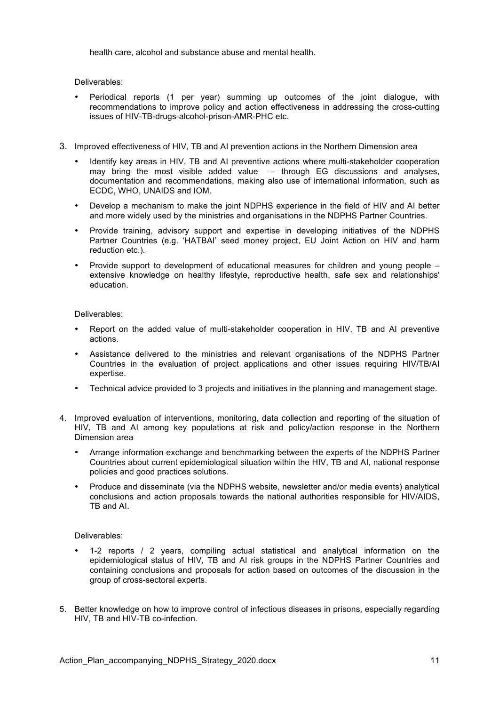health care, alcohol and substance abuse and mental health.

Deliverables:

- Periodical reports (1 per year) summing up outcomes of the joint dialogue, with recommendations to improve policy and action effectiveness in addressing the cross-cutting issues of HIV-TB-drugs-alcohol-prison-AMR-PHC etc.
- 3. Improved effectiveness of HIV, TB and AI prevention actions in the Northern Dimension area
	- Identify key areas in HIV, TB and AI preventive actions where multi-stakeholder cooperation may bring the most visible added value  $-$  through EG discussions and analyses, documentation and recommendations, making also use of international information, such as ECDC, WHO, UNAIDS and IOM.
	- Develop a mechanism to make the joint NDPHS experience in the field of HIV and AI better and more widely used by the ministries and organisations in the NDPHS Partner Countries.
	- Provide training, advisory support and expertise in developing initiatives of the NDPHS Partner Countries (e.g. 'HATBAI' seed money project, EU Joint Action on HIV and harm reduction etc.).
	- Provide support to development of educational measures for children and young people extensive knowledge on healthy lifestyle, reproductive health, safe sex and relationships' education.

Deliverables:

- Report on the added value of multi-stakeholder cooperation in HIV, TB and AI preventive actions.
- Assistance delivered to the ministries and relevant organisations of the NDPHS Partner Countries in the evaluation of project applications and other issues requiring HIV/TB/AI expertise.
- Technical advice provided to 3 projects and initiatives in the planning and management stage.
- 4. Improved evaluation of interventions, monitoring, data collection and reporting of the situation of HIV, TB and AI among key populations at risk and policy/action response in the Northern Dimension area
	- Arrange information exchange and benchmarking between the experts of the NDPHS Partner Countries about current epidemiological situation within the HIV, TB and AI, national response policies and good practices solutions.
	- Produce and disseminate (via the NDPHS website, newsletter and/or media events) analytical conclusions and action proposals towards the national authorities responsible for HIV/AIDS, TB and AI.

Deliverables:

- 1-2 reports / 2 years, compiling actual statistical and analytical information on the epidemiological status of HIV, TB and AI risk groups in the NDPHS Partner Countries and containing conclusions and proposals for action based on outcomes of the discussion in the group of cross-sectoral experts.
- 5. Better knowledge on how to improve control of infectious diseases in prisons, especially regarding HIV, TB and HIV-TB co-infection.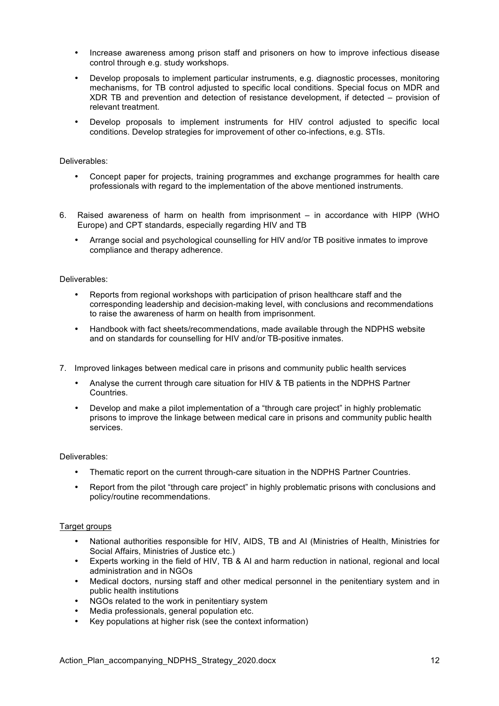- Increase awareness among prison staff and prisoners on how to improve infectious disease control through e.g. study workshops.
- Develop proposals to implement particular instruments, e.g. diagnostic processes, monitoring mechanisms, for TB control adjusted to specific local conditions. Special focus on MDR and XDR TB and prevention and detection of resistance development, if detected – provision of relevant treatment.
- Develop proposals to implement instruments for HIV control adjusted to specific local conditions. Develop strategies for improvement of other co-infections, e.g. STIs.

#### Deliverables:

- Concept paper for projects, training programmes and exchange programmes for health care professionals with regard to the implementation of the above mentioned instruments.
- 6. Raised awareness of harm on health from imprisonment in accordance with HIPP (WHO Europe) and CPT standards, especially regarding HIV and TB
	- Arrange social and psychological counselling for HIV and/or TB positive inmates to improve compliance and therapy adherence.

#### Deliverables:

- Reports from regional workshops with participation of prison healthcare staff and the corresponding leadership and decision-making level, with conclusions and recommendations to raise the awareness of harm on health from imprisonment.
- Handbook with fact sheets/recommendations, made available through the NDPHS website and on standards for counselling for HIV and/or TB-positive inmates.
- 7. Improved linkages between medical care in prisons and community public health services
	- Analyse the current through care situation for HIV & TB patients in the NDPHS Partner Countries.
	- Develop and make a pilot implementation of a "through care project" in highly problematic prisons to improve the linkage between medical care in prisons and community public health services.

#### Deliverables:

- Thematic report on the current through-care situation in the NDPHS Partner Countries.
- Report from the pilot "through care project" in highly problematic prisons with conclusions and policy/routine recommendations.

#### Target groups

- National authorities responsible for HIV, AIDS, TB and AI (Ministries of Health, Ministries for Social Affairs, Ministries of Justice etc.)
- Experts working in the field of HIV, TB & AI and harm reduction in national, regional and local administration and in NGOs
- Medical doctors, nursing staff and other medical personnel in the penitentiary system and in public health institutions
- NGOs related to the work in penitentiary system
- Media professionals, general population etc.
- Key populations at higher risk (see the context information)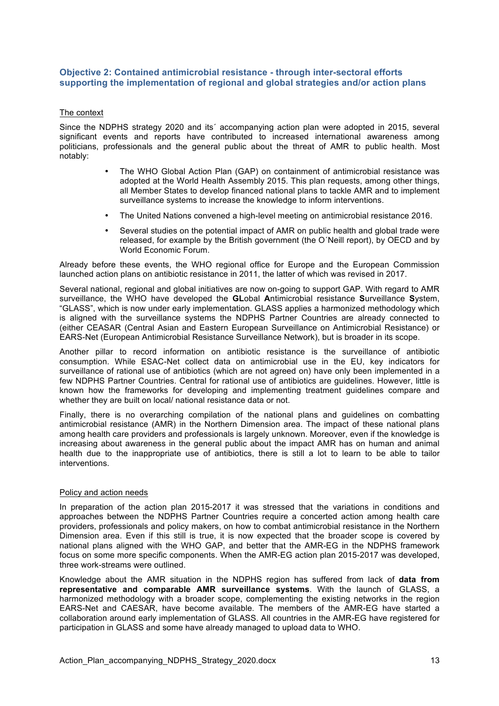## **Objective 2: Contained antimicrobial resistance - through inter-sectoral efforts supporting the implementation of regional and global strategies and/or action plans**

#### The context

Since the NDPHS strategy 2020 and its´ accompanying action plan were adopted in 2015, several significant events and reports have contributed to increased international awareness among politicians, professionals and the general public about the threat of AMR to public health. Most notably:

- The WHO Global Action Plan (GAP) on containment of antimicrobial resistance was adopted at the World Health Assembly 2015. This plan requests, among other things, all Member States to develop financed national plans to tackle AMR and to implement surveillance systems to increase the knowledge to inform interventions.
- The United Nations convened a high-level meeting on antimicrobial resistance 2016.
- Several studies on the potential impact of AMR on public health and global trade were released, for example by the British government (the O´Neill report), by OECD and by World Economic Forum.

Already before these events, the WHO regional office for Europe and the European Commission launched action plans on antibiotic resistance in 2011, the latter of which was revised in 2017.

Several national, regional and global initiatives are now on-going to support GAP. With regard to AMR surveillance, the WHO have developed the **GL**obal **A**ntimicrobial resistance **S**urveillance **S**ystem, "GLASS", which is now under early implementation. GLASS applies a harmonized methodology which is aligned with the surveillance systems the NDPHS Partner Countries are already connected to (either CEASAR (Central Asian and Eastern European Surveillance on Antimicrobial Resistance) or EARS-Net (European Antimicrobial Resistance Surveillance Network), but is broader in its scope.

Another pillar to record information on antibiotic resistance is the surveillance of antibiotic consumption. While ESAC-Net collect data on antimicrobial use in the EU, key indicators for surveillance of rational use of antibiotics (which are not agreed on) have only been implemented in a few NDPHS Partner Countries. Central for rational use of antibiotics are guidelines. However, little is known how the frameworks for developing and implementing treatment guidelines compare and whether they are built on local/ national resistance data or not.

Finally, there is no overarching compilation of the national plans and guidelines on combatting antimicrobial resistance (AMR) in the Northern Dimension area. The impact of these national plans among health care providers and professionals is largely unknown. Moreover, even if the knowledge is increasing about awareness in the general public about the impact AMR has on human and animal health due to the inappropriate use of antibiotics, there is still a lot to learn to be able to tailor interventions.

#### Policy and action needs

In preparation of the action plan 2015-2017 it was stressed that the variations in conditions and approaches between the NDPHS Partner Countries require a concerted action among health care providers, professionals and policy makers, on how to combat antimicrobial resistance in the Northern Dimension area. Even if this still is true, it is now expected that the broader scope is covered by national plans aligned with the WHO GAP, and better that the AMR-EG in the NDPHS framework focus on some more specific components. When the AMR-EG action plan 2015-2017 was developed, three work-streams were outlined.

Knowledge about the AMR situation in the NDPHS region has suffered from lack of **data from representative and comparable AMR surveillance systems**. With the launch of GLASS, a harmonized methodology with a broader scope, complementing the existing networks in the region EARS-Net and CAESAR, have become available. The members of the AMR-EG have started a collaboration around early implementation of GLASS. All countries in the AMR-EG have registered for participation in GLASS and some have already managed to upload data to WHO.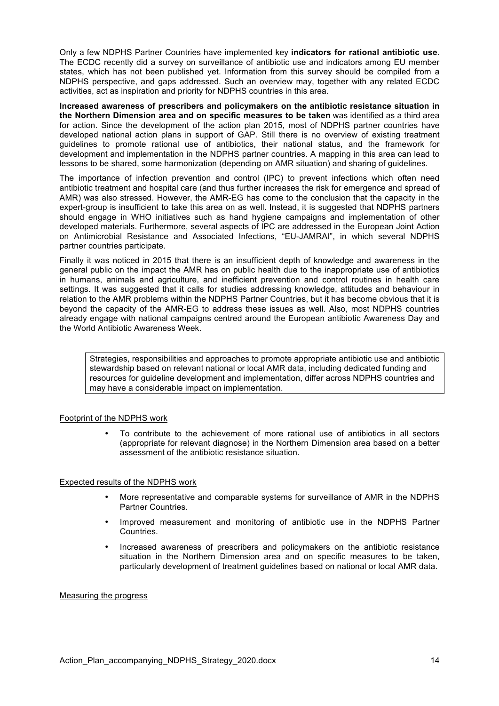Only a few NDPHS Partner Countries have implemented key **indicators for rational antibiotic use**. The ECDC recently did a survey on surveillance of antibiotic use and indicators among EU member states, which has not been published yet. Information from this survey should be compiled from a NDPHS perspective, and gaps addressed. Such an overview may, together with any related ECDC activities, act as inspiration and priority for NDPHS countries in this area.

**Increased awareness of prescribers and policymakers on the antibiotic resistance situation in the Northern Dimension area and on specific measures to be taken** was identified as a third area for action. Since the development of the action plan 2015, most of NDPHS partner countries have developed national action plans in support of GAP. Still there is no overview of existing treatment guidelines to promote rational use of antibiotics, their national status, and the framework for development and implementation in the NDPHS partner countries. A mapping in this area can lead to lessons to be shared, some harmonization (depending on AMR situation) and sharing of guidelines.

The importance of infection prevention and control (IPC) to prevent infections which often need antibiotic treatment and hospital care (and thus further increases the risk for emergence and spread of AMR) was also stressed. However, the AMR-EG has come to the conclusion that the capacity in the expert-group is insufficient to take this area on as well. Instead, it is suggested that NDPHS partners should engage in WHO initiatives such as hand hygiene campaigns and implementation of other developed materials. Furthermore, several aspects of IPC are addressed in the European Joint Action on Antimicrobial Resistance and Associated Infections, "EU-JAMRAI", in which several NDPHS partner countries participate.

Finally it was noticed in 2015 that there is an insufficient depth of knowledge and awareness in the general public on the impact the AMR has on public health due to the inappropriate use of antibiotics in humans, animals and agriculture, and inefficient prevention and control routines in health care settings. It was suggested that it calls for studies addressing knowledge, attitudes and behaviour in relation to the AMR problems within the NDPHS Partner Countries, but it has become obvious that it is beyond the capacity of the AMR-EG to address these issues as well. Also, most NDPHS countries already engage with national campaigns centred around the European antibiotic Awareness Day and the World Antibiotic Awareness Week.

Strategies, responsibilities and approaches to promote appropriate antibiotic use and antibiotic stewardship based on relevant national or local AMR data, including dedicated funding and resources for guideline development and implementation, differ across NDPHS countries and may have a considerable impact on implementation.

## Footprint of the NDPHS work

• To contribute to the achievement of more rational use of antibiotics in all sectors (appropriate for relevant diagnose) in the Northern Dimension area based on a better assessment of the antibiotic resistance situation.

#### Expected results of the NDPHS work

- More representative and comparable systems for surveillance of AMR in the NDPHS Partner Countries.
- Improved measurement and monitoring of antibiotic use in the NDPHS Partner Countries.
- Increased awareness of prescribers and policymakers on the antibiotic resistance situation in the Northern Dimension area and on specific measures to be taken, particularly development of treatment guidelines based on national or local AMR data.

#### Measuring the progress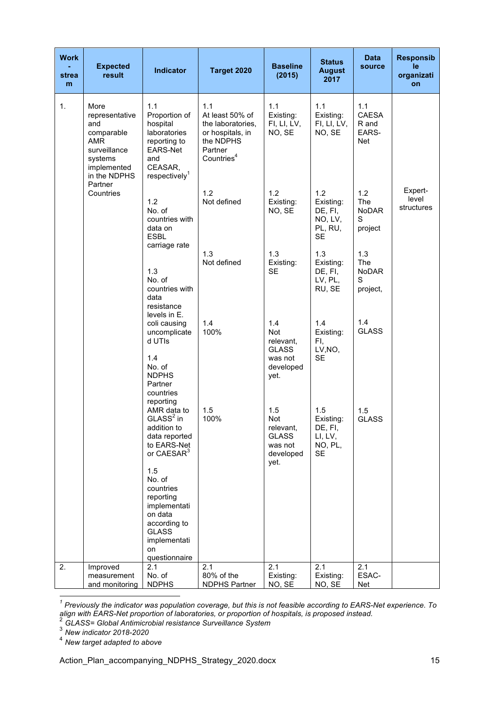| 1.1<br>1.1<br>1.1<br>1.1<br>1.1<br>1.<br>More<br>Proportion of<br>CAESA<br>At least 50% of<br>Existing:<br>Existing:<br>representative<br>and<br>hospital<br>the laboratories,<br>FI, LI, LV,<br>FI, LI, LV,<br>R and<br>laboratories<br>NO, SE<br>NO, SE<br>EARS-<br>comparable<br>or hospitals, in<br><b>AMR</b><br>the NDPHS<br>Net<br>reporting to<br>surveillance<br>EARS-Net<br>Partner<br>Countries <sup>4</sup><br>systems<br>and<br>CEASAR,<br>implemented<br>respectively <sup>1</sup><br>in the NDPHS<br>Partner<br>Expert-<br>1.2<br>1.2<br>1.2<br>1.2<br>Countries<br>level<br>1.2<br>Not defined<br>Existing:<br>Existing:<br>The<br>structures<br>No. of<br>NO, SE<br>DE, FI,<br><b>NoDAR</b><br>countries with<br>NO, LV,<br>S<br>PL, RU,<br>data on<br>project<br><b>ESBL</b><br><b>SE</b><br>carriage rate<br>1.3<br>1.3<br>1.3<br>1.3<br>Not defined<br>Existing:<br>Existing:<br>The<br>1.3<br><b>SE</b><br>DE, FI,<br><b>NoDAR</b><br>No. of<br>LV, PL,<br>S<br>RU, SE<br>countries with<br>project,<br>data<br>resistance<br>levels in E.<br>1.4<br>1.4<br>1.4<br>1.4<br>coli causing<br><b>GLASS</b><br>100%<br>uncomplicate<br>Not<br>Existing:<br>d UTIs<br>relevant,<br>FI,<br>LV, NO,<br><b>GLASS</b><br>1.4<br><b>SE</b><br>was not<br>No. of<br>developed<br><b>NDPHS</b><br>yet.<br>Partner<br>countries<br>reporting<br>AMR data to<br>1.5<br>1.5<br>1.5<br>1.5<br>$GLASS2$ in<br>100%<br>Not<br>Existing:<br><b>GLASS</b><br>addition to<br>relevant,<br>DE, FI,<br>data reported<br><b>GLASS</b><br>LI, LV,<br>to EARS-Net<br>was not<br>NO, PL,<br>or CAESAR <sup>3</sup><br>developed<br><b>SE</b><br>yet.<br>1.5<br>No. of<br>countries<br>reporting<br>implementati<br>on data | <b>Work</b><br>strea<br>m | <b>Expected</b><br>result | <b>Indicator</b> | Target 2020 | <b>Baseline</b><br>(2015) | <b>Status</b><br><b>August</b><br>2017 | <b>Data</b><br>source | <b>Responsib</b><br>le<br>organizati<br>on |
|---------------------------------------------------------------------------------------------------------------------------------------------------------------------------------------------------------------------------------------------------------------------------------------------------------------------------------------------------------------------------------------------------------------------------------------------------------------------------------------------------------------------------------------------------------------------------------------------------------------------------------------------------------------------------------------------------------------------------------------------------------------------------------------------------------------------------------------------------------------------------------------------------------------------------------------------------------------------------------------------------------------------------------------------------------------------------------------------------------------------------------------------------------------------------------------------------------------------------------------------------------------------------------------------------------------------------------------------------------------------------------------------------------------------------------------------------------------------------------------------------------------------------------------------------------------------------------------------------------------------------------------------------------------------------------------------------------------------|---------------------------|---------------------------|------------------|-------------|---------------------------|----------------------------------------|-----------------------|--------------------------------------------|
|                                                                                                                                                                                                                                                                                                                                                                                                                                                                                                                                                                                                                                                                                                                                                                                                                                                                                                                                                                                                                                                                                                                                                                                                                                                                                                                                                                                                                                                                                                                                                                                                                                                                                                                     |                           |                           |                  |             |                           |                                        |                       |                                            |
|                                                                                                                                                                                                                                                                                                                                                                                                                                                                                                                                                                                                                                                                                                                                                                                                                                                                                                                                                                                                                                                                                                                                                                                                                                                                                                                                                                                                                                                                                                                                                                                                                                                                                                                     |                           |                           |                  |             |                           |                                        |                       |                                            |
|                                                                                                                                                                                                                                                                                                                                                                                                                                                                                                                                                                                                                                                                                                                                                                                                                                                                                                                                                                                                                                                                                                                                                                                                                                                                                                                                                                                                                                                                                                                                                                                                                                                                                                                     |                           |                           |                  |             |                           |                                        |                       |                                            |
|                                                                                                                                                                                                                                                                                                                                                                                                                                                                                                                                                                                                                                                                                                                                                                                                                                                                                                                                                                                                                                                                                                                                                                                                                                                                                                                                                                                                                                                                                                                                                                                                                                                                                                                     |                           |                           |                  |             |                           |                                        |                       |                                            |
|                                                                                                                                                                                                                                                                                                                                                                                                                                                                                                                                                                                                                                                                                                                                                                                                                                                                                                                                                                                                                                                                                                                                                                                                                                                                                                                                                                                                                                                                                                                                                                                                                                                                                                                     |                           |                           |                  |             |                           |                                        |                       |                                            |
| <b>GLASS</b><br>implementati<br>on<br>questionnaire                                                                                                                                                                                                                                                                                                                                                                                                                                                                                                                                                                                                                                                                                                                                                                                                                                                                                                                                                                                                                                                                                                                                                                                                                                                                                                                                                                                                                                                                                                                                                                                                                                                                 |                           |                           | according to     |             |                           |                                        |                       |                                            |
| 2.<br>2.1<br>2.1<br>2.1<br>2.1<br>2.1<br>Improved<br>ESAC-<br>80% of the<br>No. of<br>Existing:<br>Existing:<br>measurement<br><b>NDPHS</b><br><b>NDPHS Partner</b><br>NO, SE<br>NO, SE<br>and monitoring<br>Net                                                                                                                                                                                                                                                                                                                                                                                                                                                                                                                                                                                                                                                                                                                                                                                                                                                                                                                                                                                                                                                                                                                                                                                                                                                                                                                                                                                                                                                                                                    |                           |                           |                  |             |                           |                                        |                       |                                            |

 *<sup>1</sup> Previously the indicator was population coverage, but this is not feasible according to EARS-Net experience. To align with EARS-Net proportion of laboratories, or proportion of hospitals, is proposed instead.* <sup>2</sup> *GLASS= Global Antimicrobial resistance Surveillance System* <sup>3</sup> *New indicator 2018-2020*

<sup>4</sup> *New target adapted to above*

Action\_Plan\_accompanying\_NDPHS\_Strategy\_2020.docx 15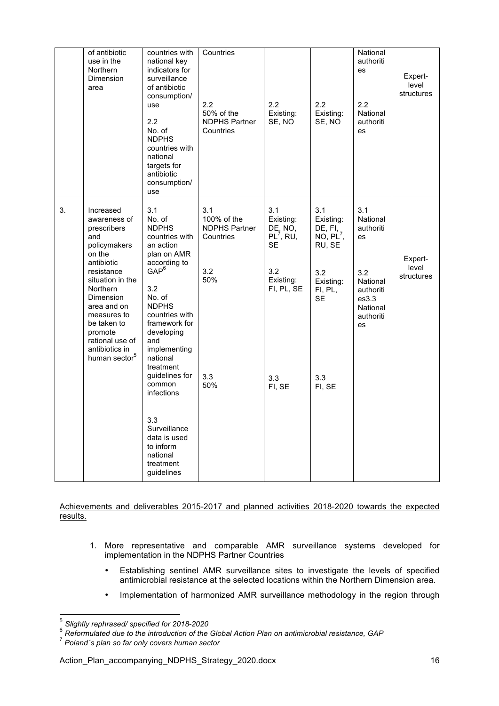|    | of antibiotic<br>use in the<br>Northern<br>Dimension<br>area                                                                                                                                                                                                                        | countries with<br>national key<br>indicators for<br>surveillance<br>of antibiotic<br>consumption/<br>use<br>2.2<br>No. of<br><b>NDPHS</b><br>countries with<br>national<br>targets for<br>antibiotic<br>consumption/<br>use                                                                                                                                                   | Countries<br>$2.2\phantom{0}$<br>50% of the<br><b>NDPHS Partner</b><br>Countries    | 2.2<br>Existing:<br>SE, NO                                                                                           | 2.2<br>Existing:<br>SE, NO                                                                                           | National<br>authoriti<br>es<br>2.2<br>National<br>authoriti<br>es                                          | Expert-<br>level<br>structures |
|----|-------------------------------------------------------------------------------------------------------------------------------------------------------------------------------------------------------------------------------------------------------------------------------------|-------------------------------------------------------------------------------------------------------------------------------------------------------------------------------------------------------------------------------------------------------------------------------------------------------------------------------------------------------------------------------|-------------------------------------------------------------------------------------|----------------------------------------------------------------------------------------------------------------------|----------------------------------------------------------------------------------------------------------------------|------------------------------------------------------------------------------------------------------------|--------------------------------|
| 3. | Increased<br>awareness of<br>prescribers<br>and<br>policymakers<br>on the<br>antibiotic<br>resistance<br>situation in the<br><b>Northern</b><br>Dimension<br>area and on<br>measures to<br>be taken to<br>promote<br>rational use of<br>antibiotics in<br>human sector <sup>5</sup> | 3.1<br>No. of<br><b>NDPHS</b><br>countries with<br>an action<br>plan on AMR<br>according to<br>$GAP^6$<br>3.2<br>No. of<br><b>NDPHS</b><br>countries with<br>framework for<br>developing<br>and<br>implementing<br>national<br>treatment<br>guidelines for<br>common<br>infections<br>3.3<br>Surveillance<br>data is used<br>to inform<br>national<br>treatment<br>guidelines | 3.1<br>100% of the<br><b>NDPHS Partner</b><br>Countries<br>3.2<br>50%<br>3.3<br>50% | 3.1<br>Existing:<br>DE, NO,<br>PL <sup>7</sup> , RU,<br><b>SE</b><br>3.2<br>Existing:<br>FI, PL, SE<br>3.3<br>FI, SE | 3.1<br>Existing:<br>DE, FI,<br>NO, PL <sup>7</sup> ,<br>RU, SE<br>3.2<br>Existing:<br>FI, PL,<br>SE<br>3.3<br>FI, SE | 3.1<br>National<br>authoriti<br>es<br>3.2<br>National<br>authoriti<br>es3.3<br>National<br>authoriti<br>es | Expert-<br>level<br>structures |

Achievements and deliverables 2015-2017 and planned activities 2018-2020 towards the expected results.

- 1. More representative and comparable AMR surveillance systems developed for implementation in the NDPHS Partner Countries
	- Establishing sentinel AMR surveillance sites to investigate the levels of specified antimicrobial resistance at the selected locations within the Northern Dimension area.
	- Implementation of harmonized AMR surveillance methodology in the region through

 <sup>5</sup> *Slightly rephrased/ specified for 2018-2020*

<sup>6</sup> *Reformulated due to the introduction of the Global Action Plan on antimicrobial resistance, GAP*

<sup>7</sup> *Poland´s plan so far only covers human sector*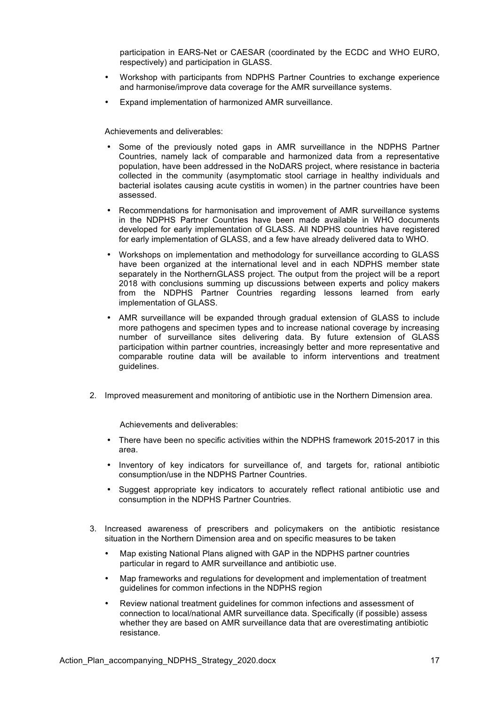participation in EARS-Net or CAESAR (coordinated by the ECDC and WHO EURO, respectively) and participation in GLASS.

- Workshop with participants from NDPHS Partner Countries to exchange experience and harmonise/improve data coverage for the AMR surveillance systems.
- Expand implementation of harmonized AMR surveillance.

Achievements and deliverables:

- Some of the previously noted gaps in AMR surveillance in the NDPHS Partner Countries, namely lack of comparable and harmonized data from a representative population, have been addressed in the NoDARS project, where resistance in bacteria collected in the community (asymptomatic stool carriage in healthy individuals and bacterial isolates causing acute cystitis in women) in the partner countries have been assessed.
- Recommendations for harmonisation and improvement of AMR surveillance systems in the NDPHS Partner Countries have been made available in WHO documents developed for early implementation of GLASS. All NDPHS countries have registered for early implementation of GLASS, and a few have already delivered data to WHO.
- Workshops on implementation and methodology for surveillance according to GLASS have been organized at the international level and in each NDPHS member state separately in the NorthernGLASS project. The output from the project will be a report 2018 with conclusions summing up discussions between experts and policy makers from the NDPHS Partner Countries regarding lessons learned from early implementation of GLASS.
- AMR surveillance will be expanded through gradual extension of GLASS to include more pathogens and specimen types and to increase national coverage by increasing number of surveillance sites delivering data. By future extension of GLASS participation within partner countries, increasingly better and more representative and comparable routine data will be available to inform interventions and treatment guidelines.
- 2. Improved measurement and monitoring of antibiotic use in the Northern Dimension area.

Achievements and deliverables:

- There have been no specific activities within the NDPHS framework 2015-2017 in this area.
- Inventory of key indicators for surveillance of, and targets for, rational antibiotic consumption/use in the NDPHS Partner Countries.
- Suggest appropriate key indicators to accurately reflect rational antibiotic use and consumption in the NDPHS Partner Countries.
- 3. Increased awareness of prescribers and policymakers on the antibiotic resistance situation in the Northern Dimension area and on specific measures to be taken
	- Map existing National Plans aligned with GAP in the NDPHS partner countries particular in regard to AMR surveillance and antibiotic use.
	- Map frameworks and regulations for development and implementation of treatment guidelines for common infections in the NDPHS region
	- Review national treatment guidelines for common infections and assessment of connection to local/national AMR surveillance data. Specifically (if possible) assess whether they are based on AMR surveillance data that are overestimating antibiotic resistance.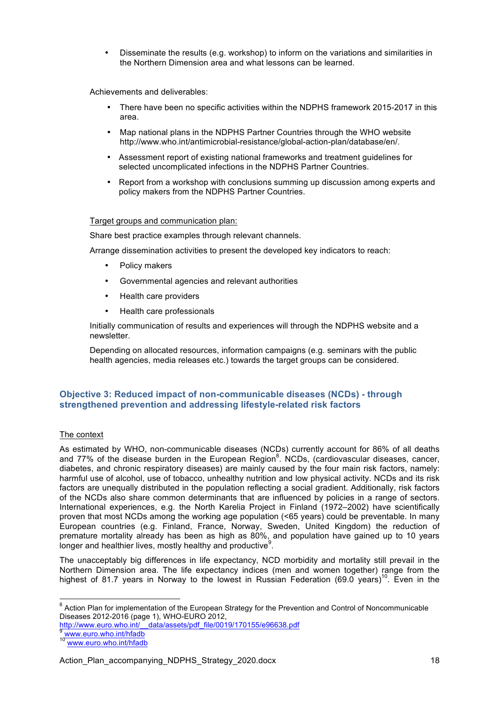• Disseminate the results (e.g. workshop) to inform on the variations and similarities in the Northern Dimension area and what lessons can be learned.

Achievements and deliverables:

- There have been no specific activities within the NDPHS framework 2015-2017 in this area.
- Map national plans in the NDPHS Partner Countries through the WHO website http://www.who.int/antimicrobial-resistance/global-action-plan/database/en/.
- Assessment report of existing national frameworks and treatment guidelines for selected uncomplicated infections in the NDPHS Partner Countries.
- Report from a workshop with conclusions summing up discussion among experts and policy makers from the NDPHS Partner Countries.

#### Target groups and communication plan:

Share best practice examples through relevant channels.

Arrange dissemination activities to present the developed key indicators to reach:

- Policy makers
- Governmental agencies and relevant authorities
- Health care providers
- Health care professionals

Initially communication of results and experiences will through the NDPHS website and a newsletter.

Depending on allocated resources, information campaigns (e.g. seminars with the public health agencies, media releases etc.) towards the target groups can be considered.

## **Objective 3: Reduced impact of non-communicable diseases (NCDs) - through strengthened prevention and addressing lifestyle-related risk factors**

## The context

As estimated by WHO, non-communicable diseases (NCDs) currently account for 86% of all deaths and 77% of the disease burden in the European Region<sup>8</sup>. NCDs, (cardiovascular diseases, cancer, diabetes, and chronic respiratory diseases) are mainly caused by the four main risk factors, namely: harmful use of alcohol, use of tobacco, unhealthy nutrition and low physical activity. NCDs and its risk factors are unequally distributed in the population reflecting a social gradient. Additionally, risk factors of the NCDs also share common determinants that are influenced by policies in a range of sectors. International experiences, e.g. the North Karelia Project in Finland (1972–2002) have scientifically proven that most NCDs among the working age population (<65 years) could be preventable. In many European countries (e.g. Finland, France, Norway, Sweden, United Kingdom) the reduction of premature mortality already has been as high as 80%, and population have gained up to 10 years longer and healthier lives, mostly healthy and productive  $9$ .

The unacceptably big differences in life expectancy, NCD morbidity and mortality still prevail in the Northern Dimension area. The life expectancy indices (men and women together) range from the highest of 81.7 years in Norway to the lowest in Russian Federation (69.0 years)<sup>10</sup>. Even in the

<sup>8</sup> Action Plan for implementation of the European Strategy for the Prevention and Control of Noncommunicable Diseases 2012-2016 (page 1), WHO-EURO 2012,

http://www.euro.who.int/\_\_data/assets/pdf\_file/0019/170155/e96638.pdf

<sup>9</sup> www.euro.who.int/hfadb<br><sup>10</sup> www.euro.who.int/hfadb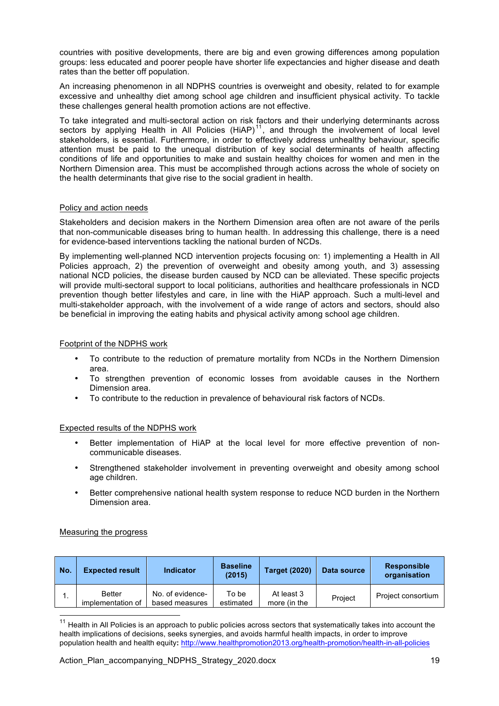countries with positive developments, there are big and even growing differences among population groups: less educated and poorer people have shorter life expectancies and higher disease and death rates than the better off population.

An increasing phenomenon in all NDPHS countries is overweight and obesity, related to for example excessive and unhealthy diet among school age children and insufficient physical activity. To tackle these challenges general health promotion actions are not effective.

To take integrated and multi-sectoral action on risk factors and their underlying determinants across sectors by applying Health in All Policies  $(HiAP)^{11}$ , and through the involvement of local level stakeholders, is essential. Furthermore, in order to effectively address unhealthy behaviour, specific attention must be paid to the unequal distribution of key social determinants of health affecting conditions of life and opportunities to make and sustain healthy choices for women and men in the Northern Dimension area. This must be accomplished through actions across the whole of society on the health determinants that give rise to the social gradient in health.

#### Policy and action needs

Stakeholders and decision makers in the Northern Dimension area often are not aware of the perils that non-communicable diseases bring to human health. In addressing this challenge, there is a need for evidence-based interventions tackling the national burden of NCDs.

By implementing well-planned NCD intervention projects focusing on: 1) implementing a Health in All Policies approach, 2) the prevention of overweight and obesity among youth, and 3) assessing national NCD policies, the disease burden caused by NCD can be alleviated. These specific projects will provide multi-sectoral support to local politicians, authorities and healthcare professionals in NCD prevention though better lifestyles and care, in line with the HiAP approach. Such a multi-level and multi-stakeholder approach, with the involvement of a wide range of actors and sectors, should also be beneficial in improving the eating habits and physical activity among school age children.

#### Footprint of the NDPHS work

- To contribute to the reduction of premature mortality from NCDs in the Northern Dimension area.
- To strengthen prevention of economic losses from avoidable causes in the Northern Dimension area.
- To contribute to the reduction in prevalence of behavioural risk factors of NCDs.

#### Expected results of the NDPHS work

- Better implementation of HiAP at the local level for more effective prevention of noncommunicable diseases.
- Strengthened stakeholder involvement in preventing overweight and obesity among school age children.
- Better comprehensive national health system response to reduce NCD burden in the Northern Dimension area.

## Measuring the progress

| l No. | <b>Expected result</b>             | <b>Indicator</b>                   | <b>Baseline</b><br>(2015) | <b>Target (2020)</b>       | Data source | <b>Responsible</b><br>organisation |
|-------|------------------------------------|------------------------------------|---------------------------|----------------------------|-------------|------------------------------------|
| . .   | <b>Better</b><br>implementation of | No. of evidence-<br>based measures | To be<br>estimated        | At least 3<br>more (in the | Project     | Project consortium                 |

 $11$  Health in All Policies is an approach to public policies across sectors that systematically takes into account the health implications of decisions, seeks synergies, and avoids harmful health impacts, in order to improve population health and health equity**:** http://www.healthpromotion2013.org/health-promotion/health-in-all-policies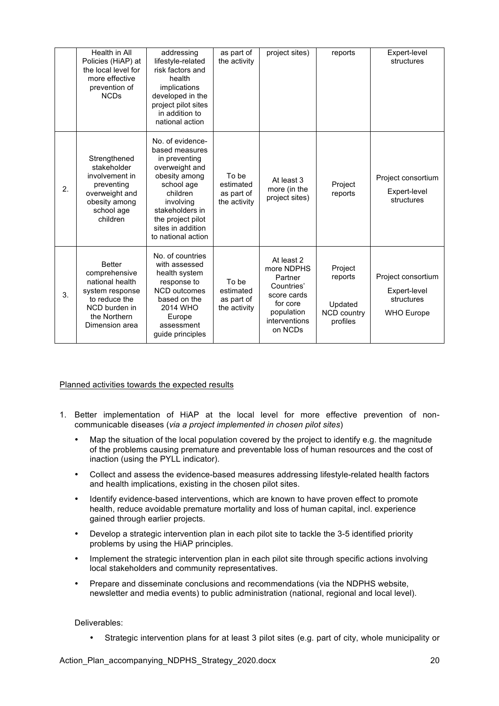|    | Health in All<br>Policies (HiAP) at<br>the local level for<br>more effective<br>prevention of<br><b>NCDs</b>                             | addressing<br>lifestyle-related<br>risk factors and<br>health<br>implications<br>developed in the<br>project pilot sites<br>in addition to<br>national action                                                    | as part of<br>the activity                       | project sites)                                                                                                         | reports                                                  | Expert-level<br>structures                                            |
|----|------------------------------------------------------------------------------------------------------------------------------------------|------------------------------------------------------------------------------------------------------------------------------------------------------------------------------------------------------------------|--------------------------------------------------|------------------------------------------------------------------------------------------------------------------------|----------------------------------------------------------|-----------------------------------------------------------------------|
| 2. | Strengthened<br>stakeholder<br>involvement in<br>preventing<br>overweight and<br>obesity among<br>school age<br>children                 | No. of evidence-<br>based measures<br>in preventing<br>overweight and<br>obesity among<br>school age<br>children<br>involving<br>stakeholders in<br>the project pilot<br>sites in addition<br>to national action | To be<br>estimated<br>as part of<br>the activity | At least 3<br>more (in the<br>project sites)                                                                           | Project<br>reports                                       | Project consortium<br>Expert-level<br>structures                      |
| 3. | <b>Better</b><br>comprehensive<br>national health<br>system response<br>to reduce the<br>NCD burden in<br>the Northern<br>Dimension area | No. of countries<br>with assessed<br>health system<br>response to<br><b>NCD</b> outcomes<br>based on the<br>2014 WHO<br>Europe<br>assessment<br>guide principles                                                 | To be<br>estimated<br>as part of<br>the activity | At least 2<br>more NDPHS<br>Partner<br>Countries'<br>score cards<br>for core<br>population<br>interventions<br>on NCDs | Project<br>reports<br>Updated<br>NCD country<br>profiles | Project consortium<br>Expert-level<br>structures<br><b>WHO Europe</b> |

Planned activities towards the expected results

- 1. Better implementation of HiAP at the local level for more effective prevention of noncommunicable diseases (*via a project implemented in chosen pilot sites*)
	- Map the situation of the local population covered by the project to identify e.g. the magnitude of the problems causing premature and preventable loss of human resources and the cost of inaction (using the PYLL indicator).
	- Collect and assess the evidence-based measures addressing lifestyle-related health factors and health implications, existing in the chosen pilot sites.
	- Identify evidence-based interventions, which are known to have proven effect to promote health, reduce avoidable premature mortality and loss of human capital, incl. experience gained through earlier projects.
	- Develop a strategic intervention plan in each pilot site to tackle the 3-5 identified priority problems by using the HiAP principles.
	- Implement the strategic intervention plan in each pilot site through specific actions involving local stakeholders and community representatives.
	- Prepare and disseminate conclusions and recommendations (via the NDPHS website, newsletter and media events) to public administration (national, regional and local level).

Deliverables:

• Strategic intervention plans for at least 3 pilot sites (e.g. part of city, whole municipality or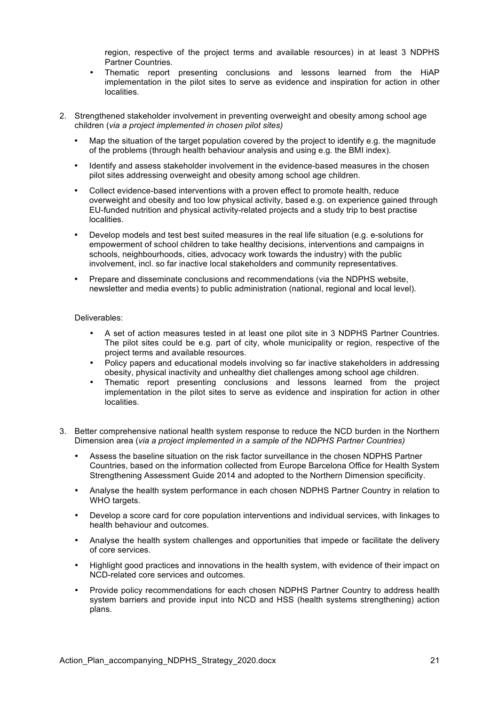region, respective of the project terms and available resources) in at least 3 NDPHS Partner Countries.

- Thematic report presenting conclusions and lessons learned from the HiAP implementation in the pilot sites to serve as evidence and inspiration for action in other localities.
- 2. Strengthened stakeholder involvement in preventing overweight and obesity among school age children (*via a project implemented in chosen pilot sites)*
	- Map the situation of the target population covered by the project to identify e.g. the magnitude of the problems (through health behaviour analysis and using e.g. the BMI index).
	- Identify and assess stakeholder involvement in the evidence-based measures in the chosen pilot sites addressing overweight and obesity among school age children.
	- Collect evidence-based interventions with a proven effect to promote health, reduce overweight and obesity and too low physical activity, based e.g. on experience gained through EU-funded nutrition and physical activity-related projects and a study trip to best practise localities.
	- Develop models and test best suited measures in the real life situation (e.g. e-solutions for empowerment of school children to take healthy decisions, interventions and campaigns in schools, neighbourhoods, cities, advocacy work towards the industry) with the public involvement, incl. so far inactive local stakeholders and community representatives.
	- Prepare and disseminate conclusions and recommendations (via the NDPHS website, newsletter and media events) to public administration (national, regional and local level).

#### Deliverables:

- A set of action measures tested in at least one pilot site in 3 NDPHS Partner Countries. The pilot sites could be e.g. part of city, whole municipality or region, respective of the project terms and available resources.
- Policy papers and educational models involving so far inactive stakeholders in addressing obesity, physical inactivity and unhealthy diet challenges among school age children.
- Thematic report presenting conclusions and lessons learned from the project implementation in the pilot sites to serve as evidence and inspiration for action in other localities.
- 3. Better comprehensive national health system response to reduce the NCD burden in the Northern Dimension area (*via a project implemented in a sample of the NDPHS Partner Countries)*
	- Assess the baseline situation on the risk factor surveillance in the chosen NDPHS Partner Countries, based on the information collected from Europe Barcelona Office for Health System Strengthening Assessment Guide 2014 and adopted to the Northern Dimension specificity.
	- Analyse the health system performance in each chosen NDPHS Partner Country in relation to WHO targets.
	- Develop a score card for core population interventions and individual services, with linkages to health behaviour and outcomes.
	- Analyse the health system challenges and opportunities that impede or facilitate the delivery of core services.
	- Highlight good practices and innovations in the health system, with evidence of their impact on NCD-related core services and outcomes.
	- Provide policy recommendations for each chosen NDPHS Partner Country to address health system barriers and provide input into NCD and HSS (health systems strengthening) action plans.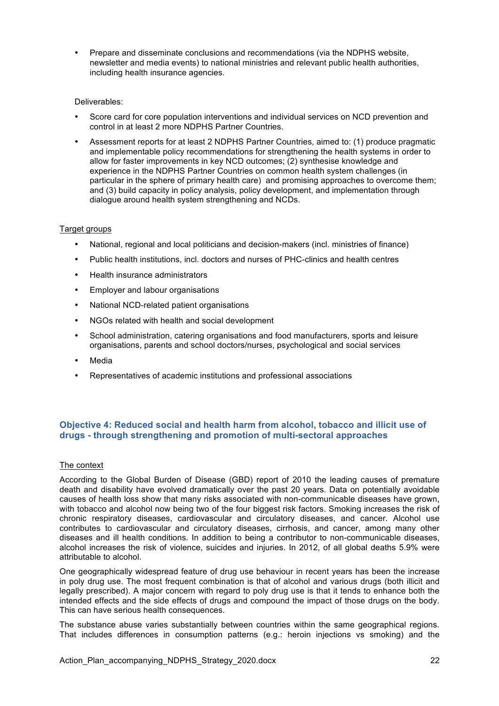• Prepare and disseminate conclusions and recommendations (via the NDPHS website, newsletter and media events) to national ministries and relevant public health authorities, including health insurance agencies.

#### Deliverables:

- Score card for core population interventions and individual services on NCD prevention and control in at least 2 more NDPHS Partner Countries.
- Assessment reports for at least 2 NDPHS Partner Countries, aimed to: (1) produce pragmatic and implementable policy recommendations for strengthening the health systems in order to allow for faster improvements in key NCD outcomes; (2) synthesise knowledge and experience in the NDPHS Partner Countries on common health system challenges (in particular in the sphere of primary health care) and promising approaches to overcome them; and (3) build capacity in policy analysis, policy development, and implementation through dialogue around health system strengthening and NCDs.

#### Target groups

- National, regional and local politicians and decision-makers (incl. ministries of finance)
- Public health institutions, incl. doctors and nurses of PHC-clinics and health centres
- Health insurance administrators
- Employer and labour organisations
- National NCD-related patient organisations
- NGOs related with health and social development
- School administration, catering organisations and food manufacturers, sports and leisure organisations, parents and school doctors/nurses, psychological and social services
- **Media**
- Representatives of academic institutions and professional associations

## **Objective 4: Reduced social and health harm from alcohol, tobacco and illicit use of drugs - through strengthening and promotion of multi-sectoral approaches**

## The context

According to the Global Burden of Disease (GBD) report of 2010 the leading causes of premature death and disability have evolved dramatically over the past 20 years. Data on potentially avoidable causes of health loss show that many risks associated with non-communicable diseases have grown, with tobacco and alcohol now being two of the four biggest risk factors. Smoking increases the risk of chronic respiratory diseases, cardiovascular and circulatory diseases, and cancer. Alcohol use contributes to cardiovascular and circulatory diseases, cirrhosis, and cancer, among many other diseases and ill health conditions. In addition to being a contributor to non-communicable diseases, alcohol increases the risk of violence, suicides and injuries. In 2012, of all global deaths 5.9% were attributable to alcohol.

One geographically widespread feature of drug use behaviour in recent years has been the increase in poly drug use. The most frequent combination is that of alcohol and various drugs (both illicit and legally prescribed). A major concern with regard to poly drug use is that it tends to enhance both the intended effects and the side effects of drugs and compound the impact of those drugs on the body. This can have serious health consequences.

The substance abuse varies substantially between countries within the same geographical regions. That includes differences in consumption patterns (e.g.: heroin injections vs smoking) and the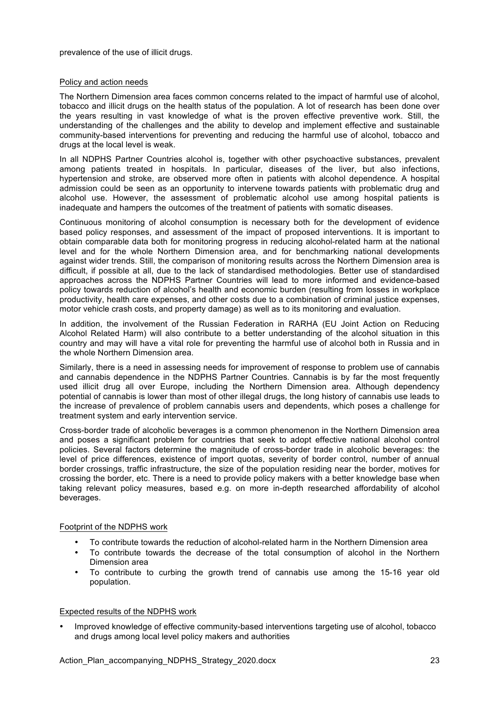prevalence of the use of illicit drugs.

#### Policy and action needs

The Northern Dimension area faces common concerns related to the impact of harmful use of alcohol, tobacco and illicit drugs on the health status of the population. A lot of research has been done over the years resulting in vast knowledge of what is the proven effective preventive work. Still, the understanding of the challenges and the ability to develop and implement effective and sustainable community-based interventions for preventing and reducing the harmful use of alcohol, tobacco and drugs at the local level is weak.

In all NDPHS Partner Countries alcohol is, together with other psychoactive substances, prevalent among patients treated in hospitals. In particular, diseases of the liver, but also infections, hypertension and stroke, are observed more often in patients with alcohol dependence. A hospital admission could be seen as an opportunity to intervene towards patients with problematic drug and alcohol use. However, the assessment of problematic alcohol use among hospital patients is inadequate and hampers the outcomes of the treatment of patients with somatic diseases.

Continuous monitoring of alcohol consumption is necessary both for the development of evidence based policy responses, and assessment of the impact of proposed interventions. It is important to obtain comparable data both for monitoring progress in reducing alcohol-related harm at the national level and for the whole Northern Dimension area, and for benchmarking national developments against wider trends. Still, the comparison of monitoring results across the Northern Dimension area is difficult, if possible at all, due to the lack of standardised methodologies. Better use of standardised approaches across the NDPHS Partner Countries will lead to more informed and evidence-based policy towards reduction of alcohol's health and economic burden (resulting from losses in workplace productivity, health care expenses, and other costs due to a combination of criminal justice expenses, motor vehicle crash costs, and property damage) as well as to its monitoring and evaluation.

In addition, the involvement of the Russian Federation in RARHA (EU Joint Action on Reducing Alcohol Related Harm) will also contribute to a better understanding of the alcohol situation in this country and may will have a vital role for preventing the harmful use of alcohol both in Russia and in the whole Northern Dimension area.

Similarly, there is a need in assessing needs for improvement of response to problem use of cannabis and cannabis dependence in the NDPHS Partner Countries. Cannabis is by far the most frequently used illicit drug all over Europe, including the Northern Dimension area. Although dependency potential of cannabis is lower than most of other illegal drugs, the long history of cannabis use leads to the increase of prevalence of problem cannabis users and dependents, which poses a challenge for treatment system and early intervention service.

Cross-border trade of alcoholic beverages is a common phenomenon in the Northern Dimension area and poses a significant problem for countries that seek to adopt effective national alcohol control policies. Several factors determine the magnitude of cross-border trade in alcoholic beverages: the level of price differences, existence of import quotas, severity of border control, number of annual border crossings, traffic infrastructure, the size of the population residing near the border, motives for crossing the border, etc. There is a need to provide policy makers with a better knowledge base when taking relevant policy measures, based e.g. on more in-depth researched affordability of alcohol beverages.

#### Footprint of the NDPHS work

- To contribute towards the reduction of alcohol-related harm in the Northern Dimension area
- To contribute towards the decrease of the total consumption of alcohol in the Northern Dimension area
- To contribute to curbing the growth trend of cannabis use among the 15-16 year old population.

#### Expected results of the NDPHS work

• Improved knowledge of effective community-based interventions targeting use of alcohol, tobacco and drugs among local level policy makers and authorities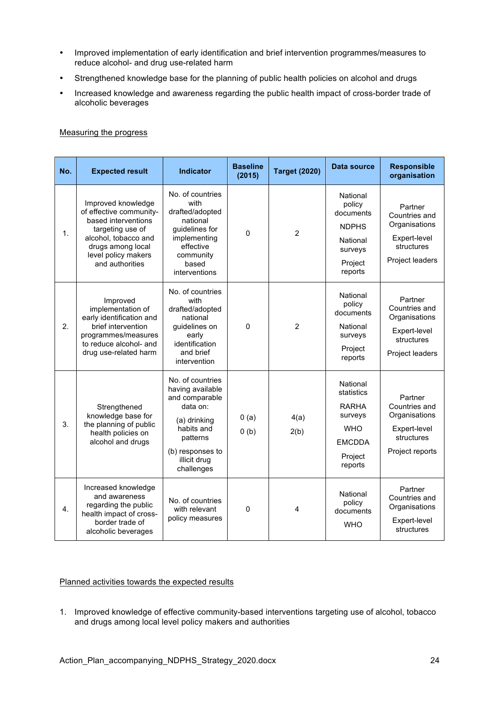- Improved implementation of early identification and brief intervention programmes/measures to reduce alcohol- and drug use-related harm
- Strengthened knowledge base for the planning of public health policies on alcohol and drugs
- Increased knowledge and awareness regarding the public health impact of cross-border trade of alcoholic beverages

## Measuring the progress

| No.            | <b>Expected result</b>                                                                                                                                                          | <b>Indicator</b>                                                                                                                                               | <b>Baseline</b><br>(2015) | <b>Target (2020)</b> | Data source                                                                                            | <b>Responsible</b><br>organisation                                                         |
|----------------|---------------------------------------------------------------------------------------------------------------------------------------------------------------------------------|----------------------------------------------------------------------------------------------------------------------------------------------------------------|---------------------------|----------------------|--------------------------------------------------------------------------------------------------------|--------------------------------------------------------------------------------------------|
| 1 <sub>1</sub> | Improved knowledge<br>of effective community-<br>based interventions<br>targeting use of<br>alcohol, tobacco and<br>drugs among local<br>level policy makers<br>and authorities | No. of countries<br>with<br>drafted/adopted<br>national<br>guidelines for<br>implementing<br>effective<br>community<br>based<br>interventions                  | $\mathbf{0}$              | $\overline{2}$       | National<br>policy<br>documents<br><b>NDPHS</b><br>National<br>surveys<br>Project<br>reports           | Partner<br>Countries and<br>Organisations<br>Expert-level<br>structures<br>Project leaders |
| 2.             | Improved<br>implementation of<br>early identification and<br>brief intervention<br>programmes/measures<br>to reduce alcohol- and<br>drug use-related harm                       | No. of countries<br>with<br>drafted/adopted<br>national<br>guidelines on<br>early<br>identification<br>and brief<br>intervention                               | 0                         | $\overline{2}$       | National<br>policy<br>documents<br>National<br>surveys<br>Project<br>reports                           | Partner<br>Countries and<br>Organisations<br>Expert-level<br>structures<br>Project leaders |
| 3.             | Strengthened<br>knowledge base for<br>the planning of public<br>health policies on<br>alcohol and drugs                                                                         | No. of countries<br>having available<br>and comparable<br>data on:<br>(a) drinking<br>habits and<br>patterns<br>(b) responses to<br>illicit drug<br>challenges | 0(a)<br>0(b)              | 4(a)<br>2(b)         | National<br>statistics<br><b>RARHA</b><br>surveys<br><b>WHO</b><br><b>EMCDDA</b><br>Project<br>reports | Partner<br>Countries and<br>Organisations<br>Expert-level<br>structures<br>Project reports |
| 4.             | Increased knowledge<br>and awareness<br>regarding the public<br>health impact of cross-<br>border trade of<br>alcoholic beverages                                               | No. of countries<br>with relevant<br>policy measures                                                                                                           | 0                         | 4                    | National<br>policy<br>documents<br><b>WHO</b>                                                          | Partner<br>Countries and<br>Organisations<br>Expert-level<br>structures                    |

#### Planned activities towards the expected results

1. Improved knowledge of effective community-based interventions targeting use of alcohol, tobacco and drugs among local level policy makers and authorities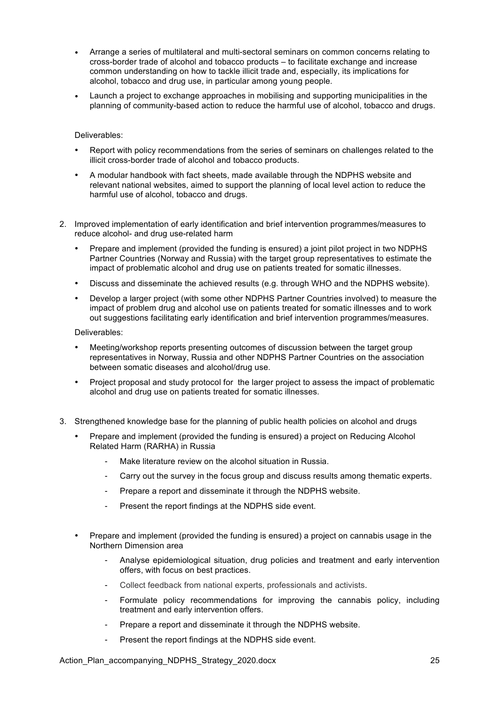- Arrange a series of multilateral and multi-sectoral seminars on common concerns relating to cross-border trade of alcohol and tobacco products – to facilitate exchange and increase common understanding on how to tackle illicit trade and, especially, its implications for alcohol, tobacco and drug use, in particular among young people.
- Launch a project to exchange approaches in mobilising and supporting municipalities in the planning of community-based action to reduce the harmful use of alcohol, tobacco and drugs.

#### Deliverables:

- Report with policy recommendations from the series of seminars on challenges related to the illicit cross-border trade of alcohol and tobacco products.
- A modular handbook with fact sheets, made available through the NDPHS website and relevant national websites, aimed to support the planning of local level action to reduce the harmful use of alcohol, tobacco and drugs.
- 2. Improved implementation of early identification and brief intervention programmes/measures to reduce alcohol- and drug use-related harm
	- Prepare and implement (provided the funding is ensured) a joint pilot project in two NDPHS Partner Countries (Norway and Russia) with the target group representatives to estimate the impact of problematic alcohol and drug use on patients treated for somatic illnesses.
	- Discuss and disseminate the achieved results (e.g. through WHO and the NDPHS website).
	- Develop a larger project (with some other NDPHS Partner Countries involved) to measure the impact of problem drug and alcohol use on patients treated for somatic illnesses and to work out suggestions facilitating early identification and brief intervention programmes/measures.

Deliverables:

- Meeting/workshop reports presenting outcomes of discussion between the target group representatives in Norway, Russia and other NDPHS Partner Countries on the association between somatic diseases and alcohol/drug use.
- Project proposal and study protocol for the larger project to assess the impact of problematic alcohol and drug use on patients treated for somatic illnesses.
- 3. Strengthened knowledge base for the planning of public health policies on alcohol and drugs
	- Prepare and implement (provided the funding is ensured) a project on Reducing Alcohol Related Harm (RARHA) in Russia
		- Make literature review on the alcohol situation in Russia.
		- Carry out the survey in the focus group and discuss results among thematic experts.
		- Prepare a report and disseminate it through the NDPHS website.
		- Present the report findings at the NDPHS side event.
	- Prepare and implement (provided the funding is ensured) a project on cannabis usage in the Northern Dimension area
		- Analyse epidemiological situation, drug policies and treatment and early intervention offers, with focus on best practices.
		- Collect feedback from national experts, professionals and activists.
		- Formulate policy recommendations for improving the cannabis policy, including treatment and early intervention offers.
		- Prepare a report and disseminate it through the NDPHS website.
		- Present the report findings at the NDPHS side event.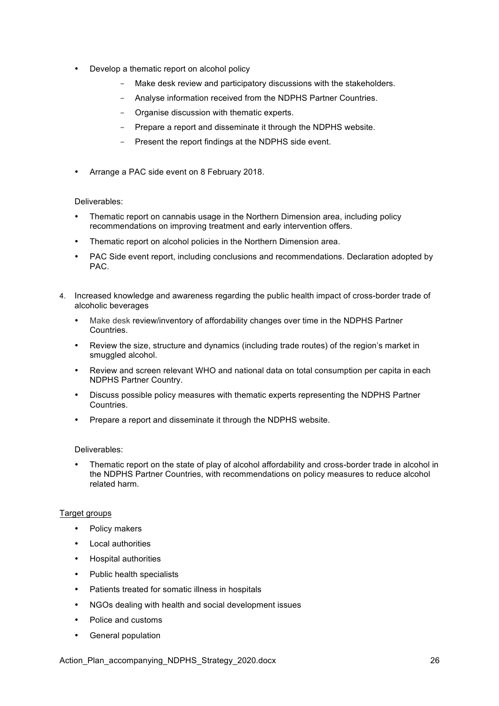- Develop a thematic report on alcohol policy
	- Make desk review and participatory discussions with the stakeholders.
	- Analyse information received from the NDPHS Partner Countries.
	- Organise discussion with thematic experts.
	- Prepare a report and disseminate it through the NDPHS website.
	- Present the report findings at the NDPHS side event.
- Arrange a PAC side event on 8 February 2018.

## Deliverables:

- Thematic report on cannabis usage in the Northern Dimension area, including policy recommendations on improving treatment and early intervention offers.
- Thematic report on alcohol policies in the Northern Dimension area.
- PAC Side event report, including conclusions and recommendations. Declaration adopted by PAC.
- 4. Increased knowledge and awareness regarding the public health impact of cross-border trade of alcoholic beverages
	- Make desk review/inventory of affordability changes over time in the NDPHS Partner Countries.
	- Review the size, structure and dynamics (including trade routes) of the region's market in smuggled alcohol.
	- Review and screen relevant WHO and national data on total consumption per capita in each NDPHS Partner Country.
	- Discuss possible policy measures with thematic experts representing the NDPHS Partner Countries.
	- Prepare a report and disseminate it through the NDPHS website.

## Deliverables:

• Thematic report on the state of play of alcohol affordability and cross-border trade in alcohol in the NDPHS Partner Countries, with recommendations on policy measures to reduce alcohol related harm.

## Target groups

- Policy makers
- Local authorities
- Hospital authorities
- Public health specialists
- Patients treated for somatic illness in hospitals
- NGOs dealing with health and social development issues
- Police and customs
- General population

Action\_Plan\_accompanying\_NDPHS\_Strategy\_2020.docx 26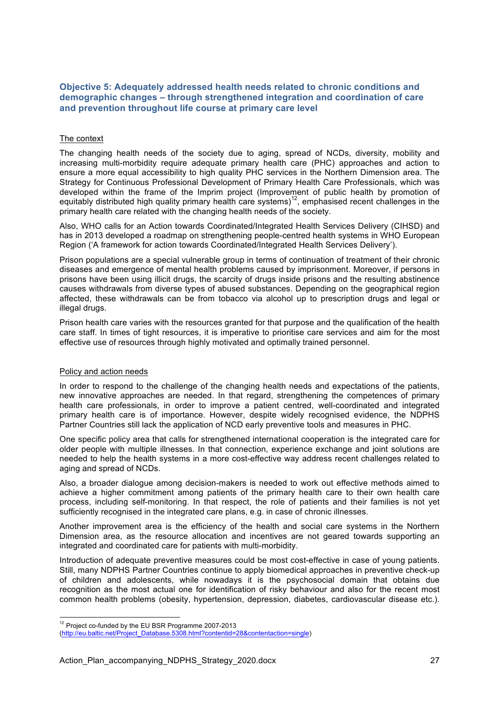## **Objective 5: Adequately addressed health needs related to chronic conditions and demographic changes – through strengthened integration and coordination of care and prevention throughout life course at primary care level**

## The context

The changing health needs of the society due to aging, spread of NCDs, diversity, mobility and increasing multi-morbidity require adequate primary health care (PHC) approaches and action to ensure a more equal accessibility to high quality PHC services in the Northern Dimension area. The Strategy for Continuous Professional Development of Primary Health Care Professionals, which was developed within the frame of the Imprim project (Improvement of public health by promotion of equitably distributed high quality primary health care systems)<sup>12</sup>, emphasised recent challenges in the primary health care related with the changing health needs of the society.

Also, WHO calls for an Action towards Coordinated/Integrated Health Services Delivery (CIHSD) and has in 2013 developed a roadmap on strengthening people-centred health systems in WHO European Region ('A framework for action towards Coordinated/Integrated Health Services Delivery').

Prison populations are a special vulnerable group in terms of continuation of treatment of their chronic diseases and emergence of mental health problems caused by imprisonment. Moreover, if persons in prisons have been using illicit drugs, the scarcity of drugs inside prisons and the resulting abstinence causes withdrawals from diverse types of abused substances. Depending on the geographical region affected, these withdrawals can be from tobacco via alcohol up to prescription drugs and legal or illegal drugs.

Prison health care varies with the resources granted for that purpose and the qualification of the health care staff. In times of tight resources, it is imperative to prioritise care services and aim for the most effective use of resources through highly motivated and optimally trained personnel.

## Policy and action needs

In order to respond to the challenge of the changing health needs and expectations of the patients, new innovative approaches are needed. In that regard, strengthening the competences of primary health care professionals, in order to improve a patient centred, well-coordinated and integrated primary health care is of importance. However, despite widely recognised evidence, the NDPHS Partner Countries still lack the application of NCD early preventive tools and measures in PHC.

One specific policy area that calls for strengthened international cooperation is the integrated care for older people with multiple illnesses. In that connection, experience exchange and joint solutions are needed to help the health systems in a more cost-effective way address recent challenges related to aging and spread of NCDs.

Also, a broader dialogue among decision-makers is needed to work out effective methods aimed to achieve a higher commitment among patients of the primary health care to their own health care process, including self-monitoring. In that respect, the role of patients and their families is not yet sufficiently recognised in the integrated care plans, e.g. in case of chronic illnesses.

Another improvement area is the efficiency of the health and social care systems in the Northern Dimension area, as the resource allocation and incentives are not geared towards supporting an integrated and coordinated care for patients with multi-morbidity.

Introduction of adequate preventive measures could be most cost-effective in case of young patients. Still, many NDPHS Partner Countries continue to apply biomedical approaches in preventive check-up of children and adolescents, while nowadays it is the psychosocial domain that obtains due recognition as the most actual one for identification of risky behaviour and also for the recent most common health problems (obesity, hypertension, depression, diabetes, cardiovascular disease etc.).

<sup>&</sup>lt;sup>12</sup> Project co-funded by the EU BSR Programme 2007-2013

<sup>(</sup>http://eu.baltic.net/Project\_Database.5308.html?contentid=28&contentaction=single)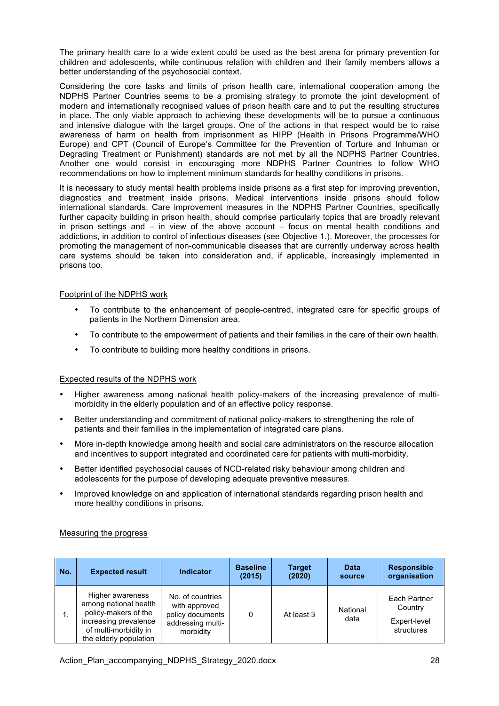The primary health care to a wide extent could be used as the best arena for primary prevention for children and adolescents, while continuous relation with children and their family members allows a better understanding of the psychosocial context.

Considering the core tasks and limits of prison health care, international cooperation among the NDPHS Partner Countries seems to be a promising strategy to promote the joint development of modern and internationally recognised values of prison health care and to put the resulting structures in place. The only viable approach to achieving these developments will be to pursue a continuous and intensive dialogue with the target groups. One of the actions in that respect would be to raise awareness of harm on health from imprisonment as HIPP (Health in Prisons Programme/WHO Europe) and CPT (Council of Europe's Committee for the Prevention of Torture and Inhuman or Degrading Treatment or Punishment) standards are not met by all the NDPHS Partner Countries. Another one would consist in encouraging more NDPHS Partner Countries to follow WHO recommendations on how to implement minimum standards for healthy conditions in prisons.

It is necessary to study mental health problems inside prisons as a first step for improving prevention, diagnostics and treatment inside prisons. Medical interventions inside prisons should follow international standards. Care improvement measures in the NDPHS Partner Countries, specifically further capacity building in prison health, should comprise particularly topics that are broadly relevant in prison settings and – in view of the above account – focus on mental health conditions and addictions, in addition to control of infectious diseases (see Objective 1.). Moreover, the processes for promoting the management of non-communicable diseases that are currently underway across health care systems should be taken into consideration and, if applicable, increasingly implemented in prisons too.

#### Footprint of the NDPHS work

- To contribute to the enhancement of people-centred, integrated care for specific groups of patients in the Northern Dimension area.
- To contribute to the empowerment of patients and their families in the care of their own health.
- To contribute to building more healthy conditions in prisons.

## Expected results of the NDPHS work

- Higher awareness among national health policy-makers of the increasing prevalence of multimorbidity in the elderly population and of an effective policy response.
- Better understanding and commitment of national policy-makers to strengthening the role of patients and their families in the implementation of integrated care plans.
- More in-depth knowledge among health and social care administrators on the resource allocation and incentives to support integrated and coordinated care for patients with multi-morbidity.
- Better identified psychosocial causes of NCD-related risky behaviour among children and adolescents for the purpose of developing adequate preventive measures.
- Improved knowledge on and application of international standards regarding prison health and more healthy conditions in prisons.

## Measuring the progress

| No. | <b>Expected result</b>                                                                                                                        | <b>Indicator</b>                                                                        | <b>Baseline</b><br>(2015) | <b>Target</b><br>(2020) | <b>Data</b><br>source | <b>Responsible</b><br>organisation                    |
|-----|-----------------------------------------------------------------------------------------------------------------------------------------------|-----------------------------------------------------------------------------------------|---------------------------|-------------------------|-----------------------|-------------------------------------------------------|
|     | Higher awareness<br>among national health<br>policy-makers of the<br>increasing prevalence<br>of multi-morbidity in<br>the elderly population | No. of countries<br>with approved<br>policy documents<br>addressing multi-<br>morbidity | 0                         | At least 3              | National<br>data      | Each Partner<br>Country<br>Expert-level<br>structures |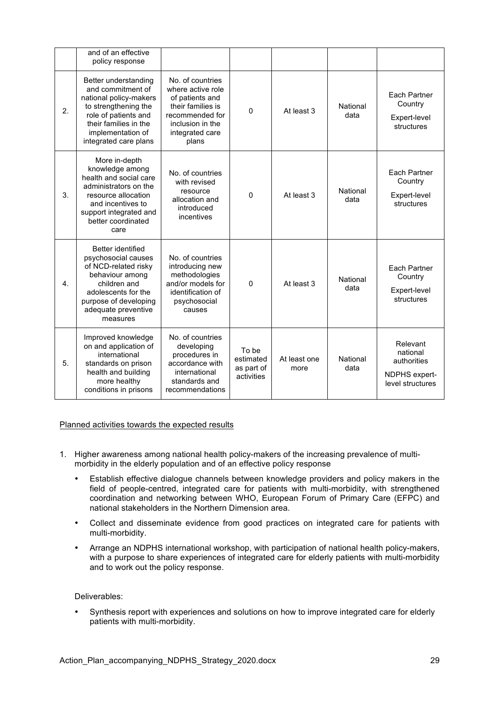|    | and of an effective<br>policy response                                                                                                                                                     |                                                                                                                                                  |                                                |                      |                  |                                                                          |
|----|--------------------------------------------------------------------------------------------------------------------------------------------------------------------------------------------|--------------------------------------------------------------------------------------------------------------------------------------------------|------------------------------------------------|----------------------|------------------|--------------------------------------------------------------------------|
| 2. | Better understanding<br>and commitment of<br>national policy-makers<br>to strengthening the<br>role of patients and<br>their families in the<br>implementation of<br>integrated care plans | No. of countries<br>where active role<br>of patients and<br>their families is<br>recommended for<br>inclusion in the<br>integrated care<br>plans | $\Omega$                                       | At least 3           | National<br>data | Each Partner<br>Country<br>Expert-level<br>structures                    |
| 3. | More in-depth<br>knowledge among<br>health and social care<br>administrators on the<br>resource allocation<br>and incentives to<br>support integrated and<br>better coordinated<br>care    | No. of countries<br>with revised<br>resource<br>allocation and<br>introduced<br>incentives                                                       | $\Omega$                                       | At least 3           | National<br>data | Each Partner<br>Country<br>Expert-level<br>structures                    |
| 4. | Better identified<br>psychosocial causes<br>of NCD-related risky<br>behaviour among<br>children and<br>adolescents for the<br>purpose of developing<br>adequate preventive<br>measures     | No. of countries<br>introducing new<br>methodologies<br>and/or models for<br>identification of<br>psychosocial<br>causes                         | $\mathbf 0$                                    | At least 3           | National<br>data | Each Partner<br>Country<br>Expert-level<br>structures                    |
| 5. | Improved knowledge<br>on and application of<br>international<br>standards on prison<br>health and building<br>more healthy<br>conditions in prisons                                        | No. of countries<br>developing<br>procedures in<br>accordance with<br>international<br>standards and<br>recommendations                          | To be<br>estimated<br>as part of<br>activities | At least one<br>more | National<br>data | Relevant<br>national<br>authorities<br>NDPHS expert-<br>level structures |

## Planned activities towards the expected results

- 1. Higher awareness among national health policy-makers of the increasing prevalence of multimorbidity in the elderly population and of an effective policy response
	- Establish effective dialogue channels between knowledge providers and policy makers in the field of people-centred, integrated care for patients with multi-morbidity, with strengthened coordination and networking between WHO, European Forum of Primary Care (EFPC) and national stakeholders in the Northern Dimension area.
	- Collect and disseminate evidence from good practices on integrated care for patients with multi-morbidity.
	- Arrange an NDPHS international workshop, with participation of national health policy-makers, with a purpose to share experiences of integrated care for elderly patients with multi-morbidity and to work out the policy response.

## Deliverables:

• Synthesis report with experiences and solutions on how to improve integrated care for elderly patients with multi-morbidity.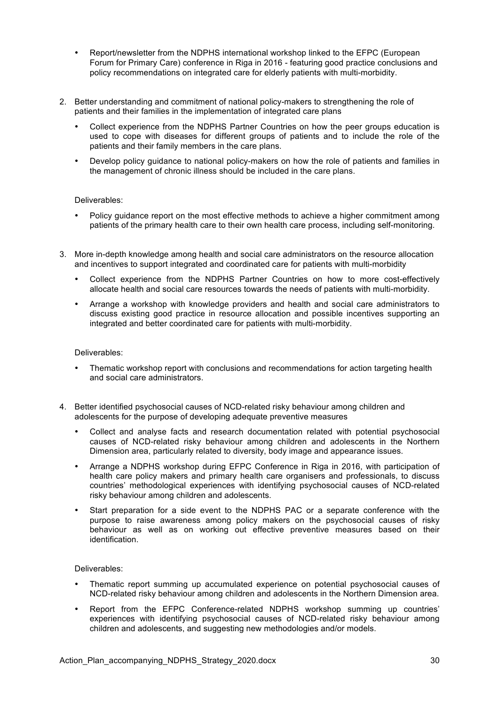- Report/newsletter from the NDPHS international workshop linked to the EFPC (European Forum for Primary Care) conference in Riga in 2016 - featuring good practice conclusions and policy recommendations on integrated care for elderly patients with multi-morbidity.
- 2. Better understanding and commitment of national policy-makers to strengthening the role of patients and their families in the implementation of integrated care plans
	- Collect experience from the NDPHS Partner Countries on how the peer groups education is used to cope with diseases for different groups of patients and to include the role of the patients and their family members in the care plans.
	- Develop policy guidance to national policy-makers on how the role of patients and families in the management of chronic illness should be included in the care plans.

#### Deliverables:

- Policy guidance report on the most effective methods to achieve a higher commitment among patients of the primary health care to their own health care process, including self-monitoring.
- 3. More in-depth knowledge among health and social care administrators on the resource allocation and incentives to support integrated and coordinated care for patients with multi-morbidity
	- Collect experience from the NDPHS Partner Countries on how to more cost-effectively allocate health and social care resources towards the needs of patients with multi-morbidity.
	- Arrange a workshop with knowledge providers and health and social care administrators to discuss existing good practice in resource allocation and possible incentives supporting an integrated and better coordinated care for patients with multi-morbidity.

#### Deliverables:

- Thematic workshop report with conclusions and recommendations for action targeting health and social care administrators.
- 4. Better identified psychosocial causes of NCD-related risky behaviour among children and adolescents for the purpose of developing adequate preventive measures
	- Collect and analyse facts and research documentation related with potential psychosocial causes of NCD-related risky behaviour among children and adolescents in the Northern Dimension area, particularly related to diversity, body image and appearance issues.
	- Arrange a NDPHS workshop during EFPC Conference in Riga in 2016, with participation of health care policy makers and primary health care organisers and professionals, to discuss countries' methodological experiences with identifying psychosocial causes of NCD-related risky behaviour among children and adolescents.
	- Start preparation for a side event to the NDPHS PAC or a separate conference with the purpose to raise awareness among policy makers on the psychosocial causes of risky behaviour as well as on working out effective preventive measures based on their identification.

#### Deliverables:

- Thematic report summing up accumulated experience on potential psychosocial causes of NCD-related risky behaviour among children and adolescents in the Northern Dimension area.
- Report from the EFPC Conference-related NDPHS workshop summing up countries' experiences with identifying psychosocial causes of NCD-related risky behaviour among children and adolescents, and suggesting new methodologies and/or models.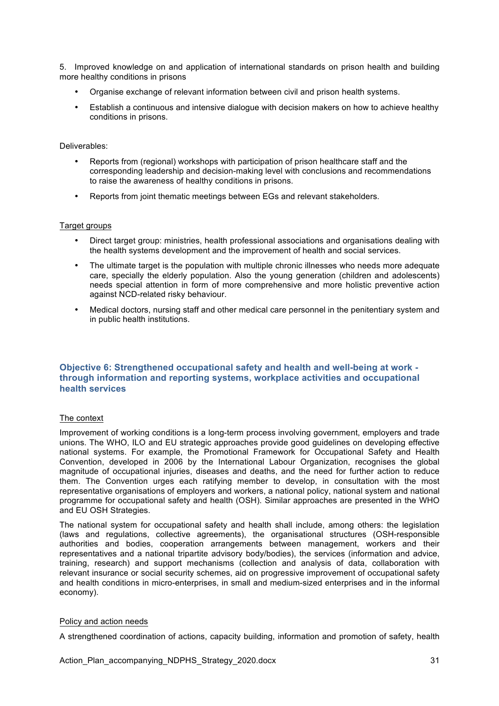5. Improved knowledge on and application of international standards on prison health and building more healthy conditions in prisons

- Organise exchange of relevant information between civil and prison health systems.
- Establish a continuous and intensive dialogue with decision makers on how to achieve healthy conditions in prisons.

#### Deliverables:

- Reports from (regional) workshops with participation of prison healthcare staff and the corresponding leadership and decision-making level with conclusions and recommendations to raise the awareness of healthy conditions in prisons.
- Reports from joint thematic meetings between EGs and relevant stakeholders.

#### Target groups

- Direct target group: ministries, health professional associations and organisations dealing with the health systems development and the improvement of health and social services.
- The ultimate target is the population with multiple chronic illnesses who needs more adequate care, specially the elderly population. Also the young generation (children and adolescents) needs special attention in form of more comprehensive and more holistic preventive action against NCD-related risky behaviour.
- Medical doctors, nursing staff and other medical care personnel in the penitentiary system and in public health institutions.

## **Objective 6: Strengthened occupational safety and health and well-being at work through information and reporting systems, workplace activities and occupational health services**

## The context

Improvement of working conditions is a long-term process involving government, employers and trade unions. The WHO, ILO and EU strategic approaches provide good guidelines on developing effective national systems. For example, the Promotional Framework for Occupational Safety and Health Convention, developed in 2006 by the International Labour Organization, recognises the global magnitude of occupational injuries, diseases and deaths, and the need for further action to reduce them. The Convention urges each ratifying member to develop, in consultation with the most representative organisations of employers and workers, a national policy, national system and national programme for occupational safety and health (OSH). Similar approaches are presented in the WHO and EU OSH Strategies.

The national system for occupational safety and health shall include, among others: the legislation (laws and regulations, collective agreements), the organisational structures (OSH-responsible authorities and bodies, cooperation arrangements between management, workers and their representatives and a national tripartite advisory body/bodies), the services (information and advice, training, research) and support mechanisms (collection and analysis of data, collaboration with relevant insurance or social security schemes, aid on progressive improvement of occupational safety and health conditions in micro-enterprises, in small and medium-sized enterprises and in the informal economy).

#### Policy and action needs

A strengthened coordination of actions, capacity building, information and promotion of safety, health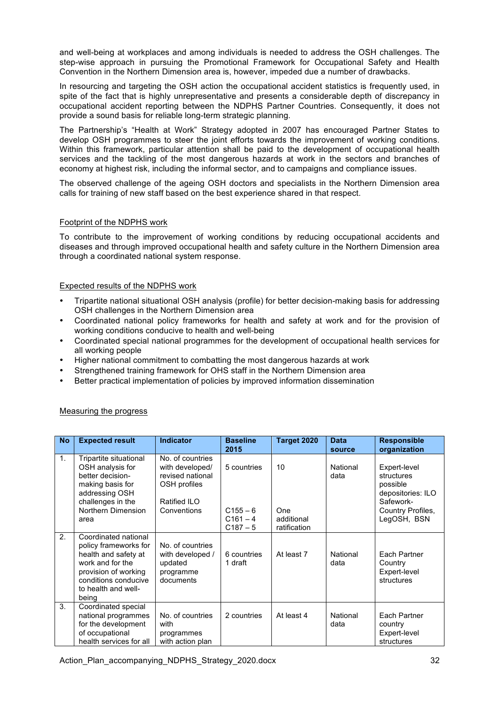and well-being at workplaces and among individuals is needed to address the OSH challenges. The step-wise approach in pursuing the Promotional Framework for Occupational Safety and Health Convention in the Northern Dimension area is, however, impeded due a number of drawbacks.

In resourcing and targeting the OSH action the occupational accident statistics is frequently used, in spite of the fact that is highly unrepresentative and presents a considerable depth of discrepancy in occupational accident reporting between the NDPHS Partner Countries. Consequently, it does not provide a sound basis for reliable long-term strategic planning.

The Partnership's "Health at Work" Strategy adopted in 2007 has encouraged Partner States to develop OSH programmes to steer the joint efforts towards the improvement of working conditions. Within this framework, particular attention shall be paid to the development of occupational health services and the tackling of the most dangerous hazards at work in the sectors and branches of economy at highest risk, including the informal sector, and to campaigns and compliance issues.

The observed challenge of the ageing OSH doctors and specialists in the Northern Dimension area calls for training of new staff based on the best experience shared in that respect.

## Footprint of the NDPHS work

To contribute to the improvement of working conditions by reducing occupational accidents and diseases and through improved occupational health and safety culture in the Northern Dimension area through a coordinated national system response.

#### Expected results of the NDPHS work

- Tripartite national situational OSH analysis (profile) for better decision-making basis for addressing OSH challenges in the Northern Dimension area
- Coordinated national policy frameworks for health and safety at work and for the provision of working conditions conducive to health and well-being
- Coordinated special national programmes for the development of occupational health services for all working people
- Higher national commitment to combatting the most dangerous hazards at work
- Strengthened training framework for OHS staff in the Northern Dimension area
- Better practical implementation of policies by improved information dissemination

| <b>No</b>      | <b>Expected result</b>                                                                                                                                                    | <b>Indicator</b>                                                                                       | <b>Baseline</b><br>2015                               | Target 2020                             | <b>Data</b><br>source | <b>Responsible</b><br>organization                                                                           |
|----------------|---------------------------------------------------------------------------------------------------------------------------------------------------------------------------|--------------------------------------------------------------------------------------------------------|-------------------------------------------------------|-----------------------------------------|-----------------------|--------------------------------------------------------------------------------------------------------------|
| 1 <sub>1</sub> | Tripartite situational<br>OSH analysis for<br>better decision-<br>making basis for<br>addressing OSH<br>challenges in the<br>Northern Dimension<br>area                   | No. of countries<br>with developed/<br>revised national<br>OSH profiles<br>Ratified ILO<br>Conventions | 5 countries<br>$C155 - 6$<br>$C161 - 4$<br>$C187 - 5$ | 10<br>One<br>additional<br>ratification | National<br>data      | Expert-level<br>structures<br>possible<br>depositories: ILO<br>Safework-<br>Country Profiles,<br>LegOSH, BSN |
| 2.             | Coordinated national<br>policy frameworks for<br>health and safety at<br>work and for the<br>provision of working<br>conditions conducive<br>to health and well-<br>being | No. of countries<br>with developed /<br>updated<br>programme<br>documents                              | 6 countries<br>1 draft                                | At least 7                              | National<br>data      | Each Partner<br>Country<br>Expert-level<br>structures                                                        |
| 3.             | Coordinated special<br>national programmes<br>for the development<br>of occupational<br>health services for all                                                           | No. of countries<br>with<br>programmes<br>with action plan                                             | 2 countries                                           | At least 4                              | National<br>data      | Each Partner<br>country<br>Expert-level<br>structures                                                        |

## Measuring the progress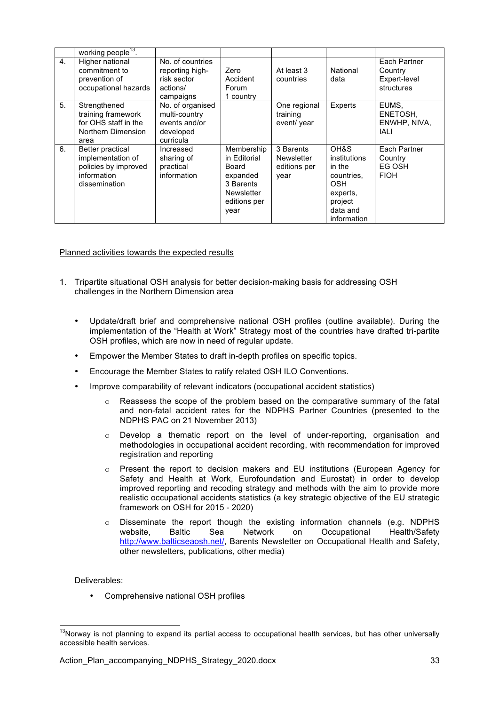|    | working people <sup>13</sup> .                                                                |                                                                              |                                                                                                    |                                                 |                                                                                                              |                                                       |
|----|-----------------------------------------------------------------------------------------------|------------------------------------------------------------------------------|----------------------------------------------------------------------------------------------------|-------------------------------------------------|--------------------------------------------------------------------------------------------------------------|-------------------------------------------------------|
| 4. | Higher national<br>commitment to<br>prevention of<br>occupational hazards                     | No. of countries<br>reporting high-<br>risk sector<br>actions/<br>campaigns  | Zero<br>Accident<br>Forum<br>1 country                                                             | At least 3<br>countries                         | National<br>data                                                                                             | Each Partner<br>Country<br>Expert-level<br>structures |
| 5. | Strengthened<br>training framework<br>for OHS staff in the<br>Northern Dimension<br>area      | No. of organised<br>multi-country<br>events and/or<br>developed<br>curricula |                                                                                                    | One regional<br>training<br>event/ year         | Experts                                                                                                      | EUMS,<br>ENETOSH,<br>ENWHP, NIVA,<br>IALI             |
| 6. | Better practical<br>implementation of<br>policies by improved<br>information<br>dissemination | Increased<br>sharing of<br>practical<br>information                          | Membership<br>in Editorial<br>Board<br>expanded<br>3 Barents<br>Newsletter<br>editions per<br>year | 3 Barents<br>Newsletter<br>editions per<br>year | OH&S<br>institutions<br>in the<br>countries.<br><b>OSH</b><br>experts,<br>project<br>data and<br>information | Each Partner<br>Country<br>EG OSH<br><b>FIOH</b>      |

Planned activities towards the expected results

- 1. Tripartite situational OSH analysis for better decision-making basis for addressing OSH challenges in the Northern Dimension area
	- Update/draft brief and comprehensive national OSH profiles (outline available). During the implementation of the "Health at Work" Strategy most of the countries have drafted tri-partite OSH profiles, which are now in need of regular update.
	- Empower the Member States to draft in-depth profiles on specific topics.
	- Encourage the Member States to ratify related OSH ILO Conventions.
	- Improve comparability of relevant indicators (occupational accident statistics)
		- $\circ$  Reassess the scope of the problem based on the comparative summary of the fatal and non-fatal accident rates for the NDPHS Partner Countries (presented to the NDPHS PAC on 21 November 2013)
		- $\circ$  Develop a thematic report on the level of under-reporting, organisation and methodologies in occupational accident recording, with recommendation for improved registration and reporting
		- o Present the report to decision makers and EU institutions (European Agency for Safety and Health at Work, Eurofoundation and Eurostat) in order to develop improved reporting and recoding strategy and methods with the aim to provide more realistic occupational accidents statistics (a key strategic objective of the EU strategic framework on OSH for 2015 - 2020)
		- o Disseminate the report though the existing information channels (e.g. NDPHS website, Baltic Sea Network on Occupational Health/Safety http://www.balticseaosh.net/, Barents Newsletter on Occupational Health and Safety, other newsletters, publications, other media)

#### Deliverables:

• Comprehensive national OSH profiles

 $13$ Norwav is not planning to expand its partial access to occupational health services, but has other universally accessible health services.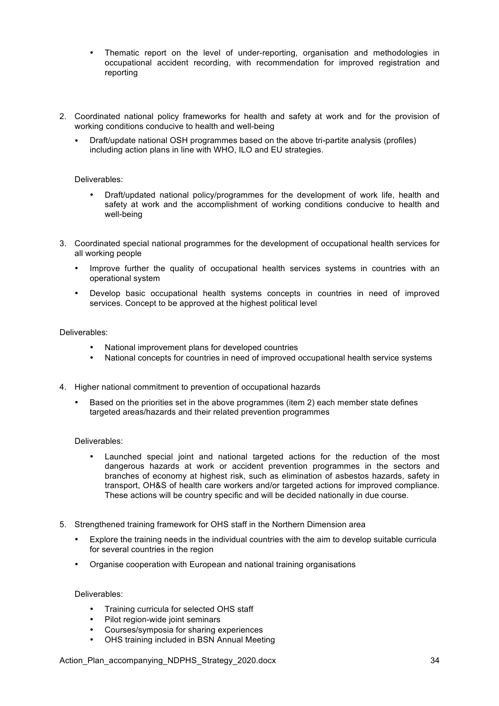- Thematic report on the level of under-reporting, organisation and methodologies in occupational accident recording, with recommendation for improved registration and reporting
- 2. Coordinated national policy frameworks for health and safety at work and for the provision of working conditions conducive to health and well-being
	- Draft/update national OSH programmes based on the above tri-partite analysis (profiles) including action plans in line with WHO, ILO and EU strategies.

#### Deliverables:

- Draft/updated national policy/programmes for the development of work life, health and safety at work and the accomplishment of working conditions conducive to health and well-being
- 3. Coordinated special national programmes for the development of occupational health services for all working people
	- Improve further the quality of occupational health services systems in countries with an operational system
	- Develop basic occupational health systems concepts in countries in need of improved services. Concept to be approved at the highest political level

#### Deliverables:

- National improvement plans for developed countries
- National concepts for countries in need of improved occupational health service systems
- 4. Higher national commitment to prevention of occupational hazards
	- Based on the priorities set in the above programmes (item 2) each member state defines targeted areas/hazards and their related prevention programmes

#### Deliverables:

- Launched special joint and national targeted actions for the reduction of the most dangerous hazards at work or accident prevention programmes in the sectors and branches of economy at highest risk, such as elimination of asbestos hazards, safety in transport, OH&S of health care workers and/or targeted actions for improved compliance. These actions will be country specific and will be decided nationally in due course.
- 5. Strengthened training framework for OHS staff in the Northern Dimension area
	- Explore the training needs in the individual countries with the aim to develop suitable curricula for several countries in the region
	- Organise cooperation with European and national training organisations

#### Deliverables:

- Training curricula for selected OHS staff
- Pilot region-wide joint seminars
- Courses/symposia for sharing experiences
- OHS training included in BSN Annual Meeting

Action\_Plan\_accompanying\_NDPHS\_Strategy\_2020.docx 34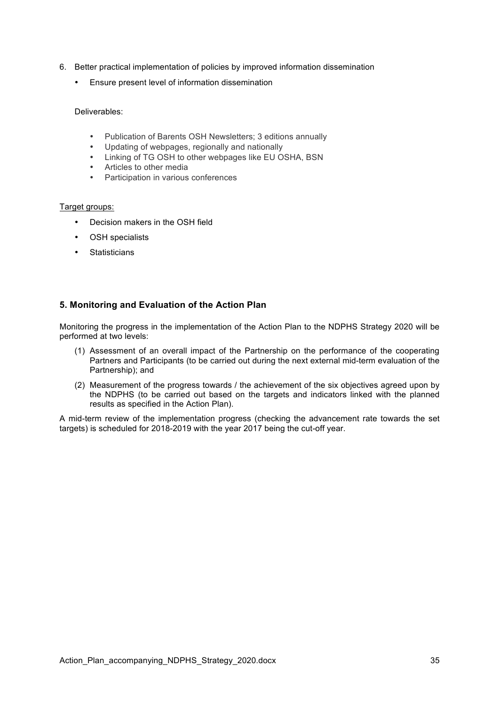- 6. Better practical implementation of policies by improved information dissemination
	- Ensure present level of information dissemination

#### Deliverables:

- Publication of Barents OSH Newsletters; 3 editions annually<br>• Undating of webpages, regionally and pationally
- Updating of webpages, regionally and nationally
- Linking of TG OSH to other webpages like EU OSHA, BSN
- Articles to other media
- Participation in various conferences

#### Target groups:

- Decision makers in the OSH field
- OSH specialists
- Statisticians

## **5. Monitoring and Evaluation of the Action Plan**

Monitoring the progress in the implementation of the Action Plan to the NDPHS Strategy 2020 will be performed at two levels:

- (1) Assessment of an overall impact of the Partnership on the performance of the cooperating Partners and Participants (to be carried out during the next external mid-term evaluation of the Partnership); and
- (2) Measurement of the progress towards / the achievement of the six objectives agreed upon by the NDPHS (to be carried out based on the targets and indicators linked with the planned results as specified in the Action Plan).

A mid-term review of the implementation progress (checking the advancement rate towards the set targets) is scheduled for 2018-2019 with the year 2017 being the cut-off year.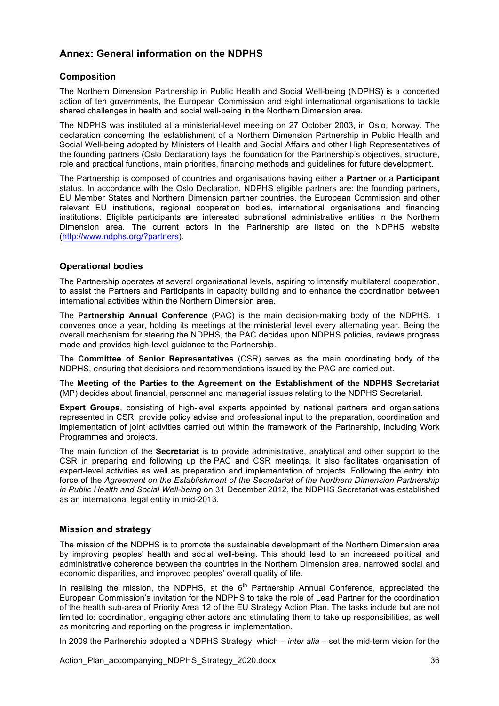## **Annex: General information on the NDPHS**

## **Composition**

The Northern Dimension Partnership in Public Health and Social Well-being (NDPHS) is a concerted action of ten governments, the European Commission and eight international organisations to tackle shared challenges in health and social well-being in the Northern Dimension area.

The NDPHS was instituted at a ministerial-level meeting on 27 October 2003, in Oslo, Norway. The declaration concerning the establishment of a Northern Dimension Partnership in Public Health and Social Well-being adopted by Ministers of Health and Social Affairs and other High Representatives of the founding partners (Oslo Declaration) lays the foundation for the Partnership's objectives, structure, role and practical functions, main priorities, financing methods and guidelines for future development.

The Partnership is composed of countries and organisations having either a **Partner** or a **Participant** status. In accordance with the Oslo Declaration, NDPHS eligible partners are: the founding partners, EU Member States and Northern Dimension partner countries, the European Commission and other relevant EU institutions, regional cooperation bodies, international organisations and financing institutions. Eligible participants are interested subnational administrative entities in the Northern Dimension area. The current actors in the Partnership are listed on the NDPHS website (http://www.ndphs.org/?partners).

## **Operational bodies**

The Partnership operates at several organisational levels, aspiring to intensify multilateral cooperation, to assist the Partners and Participants in capacity building and to enhance the coordination between international activities within the Northern Dimension area.

The **Partnership Annual Conference** (PAC) is the main decision-making body of the NDPHS. It convenes once a year, holding its meetings at the ministerial level every alternating year. Being the overall mechanism for steering the NDPHS, the PAC decides upon NDPHS policies, reviews progress made and provides high-level guidance to the Partnership.

The **Committee of Senior Representatives** (CSR) serves as the main coordinating body of the NDPHS, ensuring that decisions and recommendations issued by the PAC are carried out.

The **Meeting of the Parties to the Agreement on the Establishment of the NDPHS Secretariat (**MP) decides about financial, personnel and managerial issues relating to the NDPHS Secretariat.

**Expert Groups**, consisting of high-level experts appointed by national partners and organisations represented in CSR, provide policy advise and professional input to the preparation, coordination and implementation of joint activities carried out within the framework of the Partnership, including Work Programmes and projects.

The main function of the **Secretariat** is to provide administrative, analytical and other support to the CSR in preparing and following up the PAC and CSR meetings. It also facilitates organisation of expert-level activities as well as preparation and implementation of projects. Following the entry into force of the *Agreement on the Establishment of the Secretariat of the Northern Dimension Partnership in Public Health and Social Well-being* on 31 December 2012, the NDPHS Secretariat was established as an international legal entity in mid-2013.

## **Mission and strategy**

The mission of the NDPHS is to promote the sustainable development of the Northern Dimension area by improving peoples' health and social well-being. This should lead to an increased political and administrative coherence between the countries in the Northern Dimension area, narrowed social and economic disparities, and improved peoples' overall quality of life.

In realising the mission, the NDPHS, at the  $6<sup>th</sup>$  Partnership Annual Conference, appreciated the European Commission's invitation for the NDPHS to take the role of Lead Partner for the coordination of the health sub-area of Priority Area 12 of the EU Strategy Action Plan. The tasks include but are not limited to: coordination, engaging other actors and stimulating them to take up responsibilities, as well as monitoring and reporting on the progress in implementation.

In 2009 the Partnership adopted a NDPHS Strategy, which – *inter alia* – set the mid-term vision for the